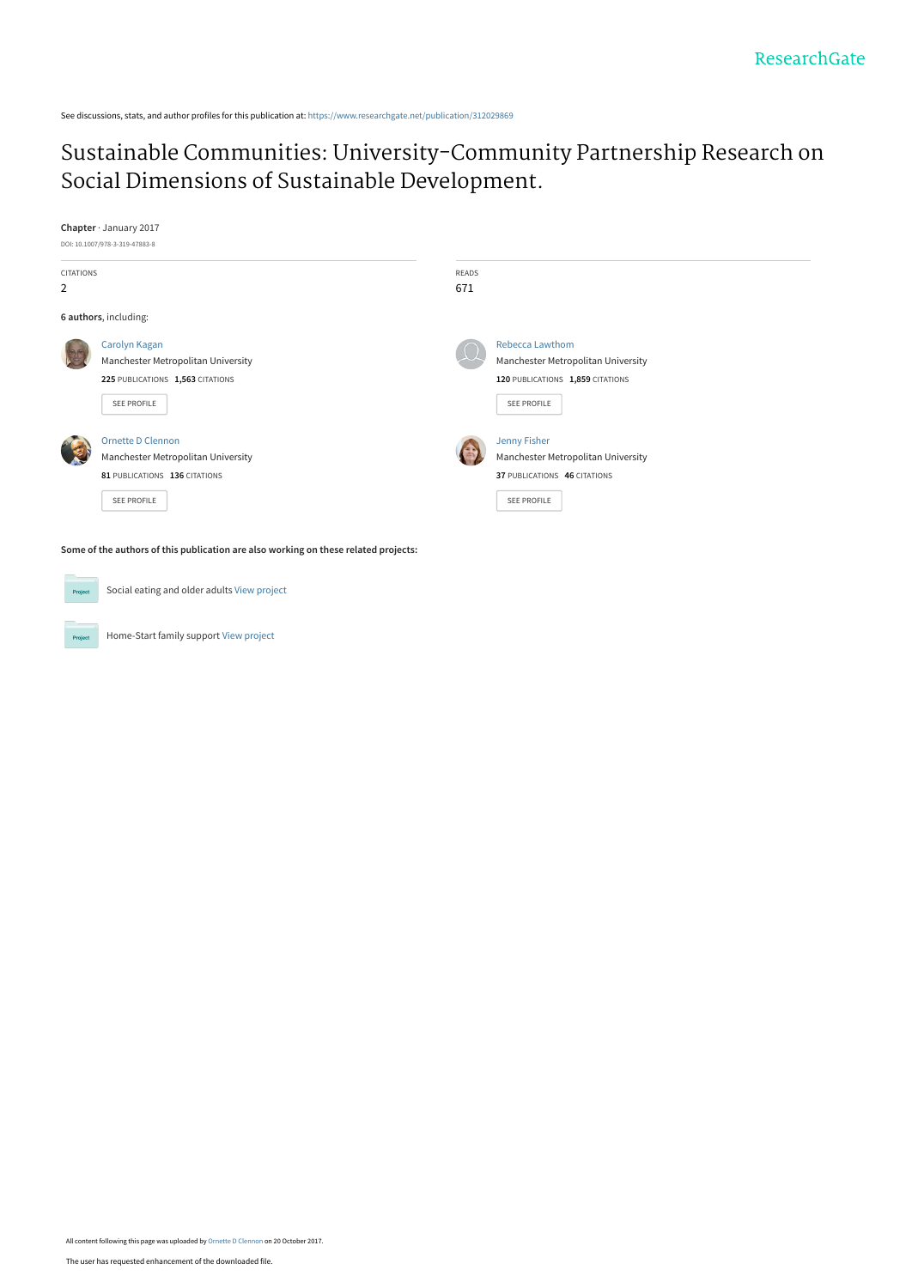See discussions, stats, and author profiles for this publication at: [https://www.researchgate.net/publication/312029869](https://www.researchgate.net/publication/312029869_Sustainable_Communities_University-Community_Partnership_Research_on_Social_Dimensions_of_Sustainable_Development?enrichId=rgreq-730b8ba34e215d9ed9be8698e3435ab3-XXX&enrichSource=Y292ZXJQYWdlOzMxMjAyOTg2OTtBUzo1NTE0OTEzNTExMjYwMTZAMTUwODQ5NzE5MjIzMw%3D%3D&el=1_x_2&_esc=publicationCoverPdf)

# [Sustainable Communities: University-Community Partnership Research on](https://www.researchgate.net/publication/312029869_Sustainable_Communities_University-Community_Partnership_Research_on_Social_Dimensions_of_Sustainable_Development?enrichId=rgreq-730b8ba34e215d9ed9be8698e3435ab3-XXX&enrichSource=Y292ZXJQYWdlOzMxMjAyOTg2OTtBUzo1NTE0OTEzNTExMjYwMTZAMTUwODQ5NzE5MjIzMw%3D%3D&el=1_x_3&_esc=publicationCoverPdf) Social Dimensions of Sustainable Development.



**Some of the authors of this publication are also working on these related projects:**

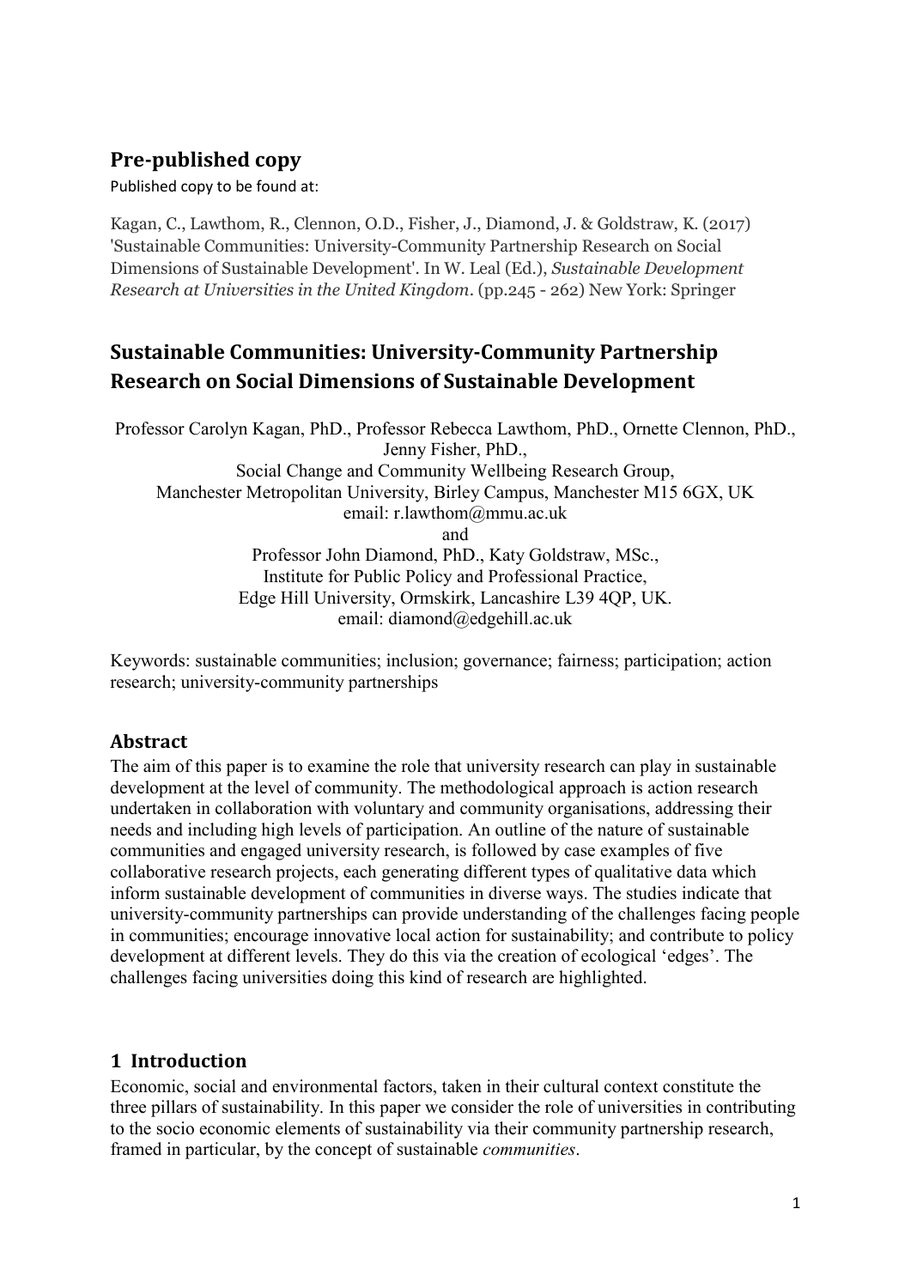## **Pre-published copy**

Published copy to be found at:

Kagan, C., Lawthom, R., Clennon, O.D., Fisher, J., Diamond, J. & Goldstraw, K. (2017) 'Sustainable Communities: University-Community Partnership Research on Social Dimensions of Sustainable Development'. In W. Leal (Ed.), *Sustainable Development Research at Universities in the United Kingdom*. (pp.245 - 262) New York: Springer

# **Sustainable Communities: University-Community Partnership Research on Social Dimensions of Sustainable Development**

Professor Carolyn Kagan, PhD., Professor Rebecca Lawthom, PhD., Ornette Clennon, PhD., Jenny Fisher, PhD., Social Change and Community Wellbeing Research Group, Manchester Metropolitan University, Birley Campus, Manchester M15 6GX, UK email: [r.lawthom@mmu.ac.uk](mailto:r.lawthom@mmu.ac.uk) and Professor John Diamond, PhD., Katy Goldstraw, MSc., Institute for Public Policy and Professional Practice, Edge Hill University, Ormskirk, Lancashire L39 4QP, UK. email: [diamond@edgehill.ac.uk](mailto:diamond@edgehill.ac.uk)

Keywords: sustainable communities; inclusion; governance; fairness; participation; action research; university-community partnerships

### **Abstract**

The aim of this paper is to examine the role that university research can play in sustainable development at the level of community. The methodological approach is action research undertaken in collaboration with voluntary and community organisations, addressing their needs and including high levels of participation. An outline of the nature of sustainable communities and engaged university research, is followed by case examples of five collaborative research projects, each generating different types of qualitative data which inform sustainable development of communities in diverse ways. The studies indicate that university-community partnerships can provide understanding of the challenges facing people in communities; encourage innovative local action for sustainability; and contribute to policy development at different levels. They do this via the creation of ecological 'edges'. The challenges facing universities doing this kind of research are highlighted.

### **1 Introduction**

Economic, social and environmental factors, taken in their cultural context constitute the three pillars of sustainability. In this paper we consider the role of universities in contributing to the socio economic elements of sustainability via their community partnership research, framed in particular, by the concept of sustainable *communities*.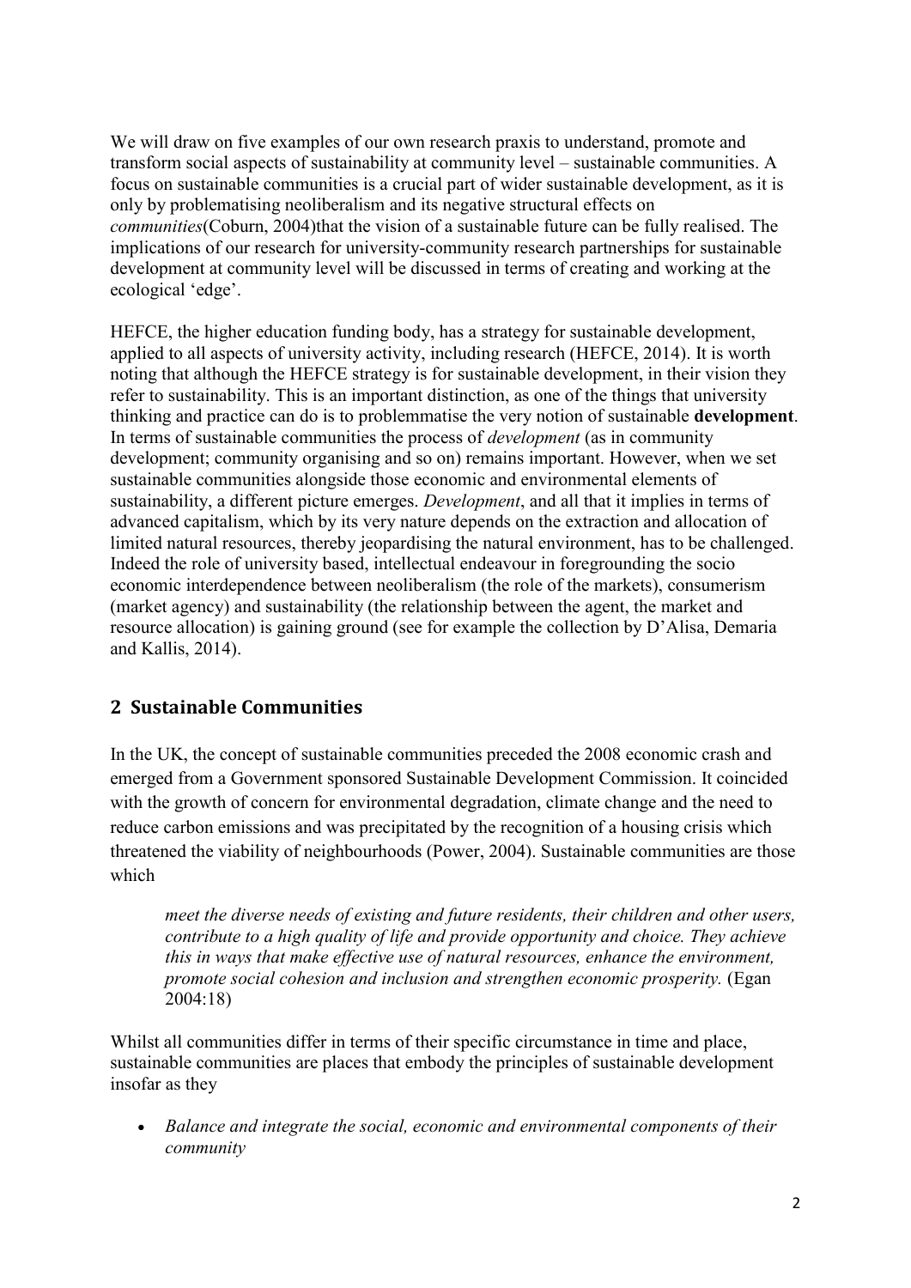We will draw on five examples of our own research praxis to understand, promote and transform social aspects of sustainability at community level – sustainable communities. A focus on sustainable communities is a crucial part of wider sustainable development, as it is only by problematising neoliberalism and its negative structural effects on *communities*(Coburn, 2004)that the vision of a sustainable future can be fully realised. The implications of our research for university-community research partnerships for sustainable development at community level will be discussed in terms of creating and working at the ecological 'edge'.

HEFCE, the higher education funding body, has a strategy for sustainable development, applied to all aspects of university activity, including research (HEFCE, 2014). It is worth noting that although the HEFCE strategy is for sustainable development, in their vision they refer to sustainability. This is an important distinction, as one of the things that university thinking and practice can do is to problemmatise the very notion of sustainable **development**. In terms of sustainable communities the process of *development* (as in community development; community organising and so on) remains important. However, when we set sustainable communities alongside those economic and environmental elements of sustainability, a different picture emerges. *Development*, and all that it implies in terms of advanced capitalism, which by its very nature depends on the extraction and allocation of limited natural resources, thereby jeopardising the natural environment, has to be challenged. Indeed the role of university based, intellectual endeavour in foregrounding the socio economic interdependence between neoliberalism (the role of the markets), consumerism (market agency) and sustainability (the relationship between the agent, the market and resource allocation) is gaining ground (see for example the collection by D'Alisa, Demaria and Kallis, 2014).

## **2 Sustainable Communities**

In the UK, the concept of sustainable communities preceded the 2008 economic crash and emerged from a Government sponsored Sustainable Development Commission. It coincided with the growth of concern for environmental degradation, climate change and the need to reduce carbon emissions and was precipitated by the recognition of a housing crisis which threatened the viability of neighbourhoods (Power, 2004). Sustainable communities are those which

*meet the diverse needs of existing and future residents, their children and other users, contribute to a high quality of life and provide opportunity and choice. They achieve this in ways that make effective use of natural resources, enhance the environment, promote social cohesion and inclusion and strengthen economic prosperity.* (Egan 2004:18)

Whilst all communities differ in terms of their specific circumstance in time and place, sustainable communities are places that embody the principles of sustainable development insofar as they

 *Balance and integrate the social, economic and environmental components of their community*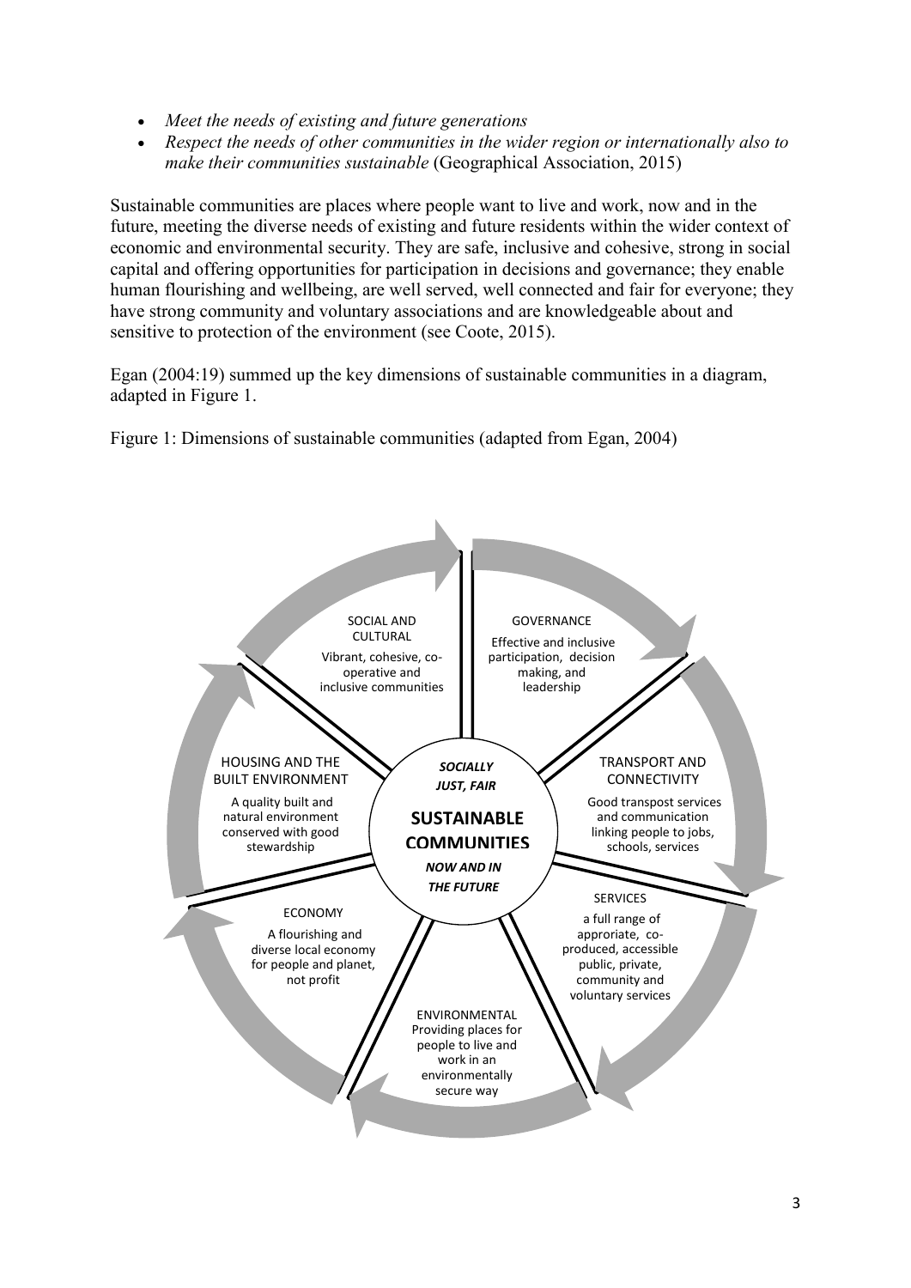- *Meet the needs of existing and future generations*
- *Respect the needs of other communities in the wider region or internationally also to make their communities sustainable* (Geographical Association, 2015)

Sustainable communities are places where people want to live and work, now and in the future, meeting the diverse needs of existing and future residents within the wider context of economic and environmental security. They are safe, inclusive and cohesive, strong in social capital and offering opportunities for participation in decisions and governance; they enable human flourishing and wellbeing, are well served, well connected and fair for everyone; they have strong community and voluntary associations and are knowledgeable about and sensitive to protection of the environment (see Coote, 2015).

Egan (2004:19) summed up the key dimensions of sustainable communities in a diagram, adapted in Figure 1.

Figure 1: Dimensions of sustainable communities (adapted from Egan, 2004)

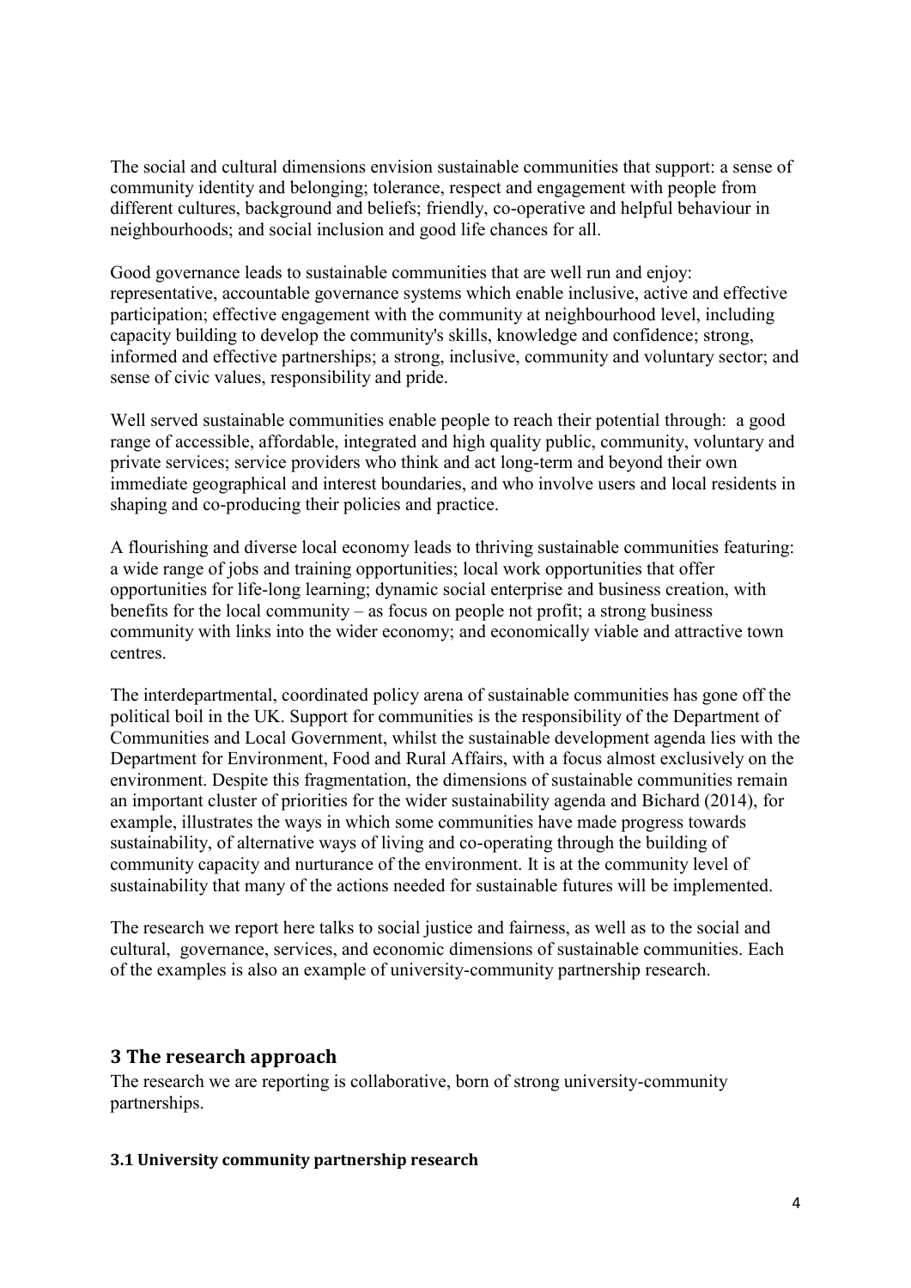The social and cultural dimensions envision sustainable communities that support: a sense of community identity and belonging; tolerance, respect and engagement with people from different cultures, background and beliefs; friendly, co-operative and helpful behaviour in neighbourhoods; and social inclusion and good life chances for all.

Good governance leads to sustainable communities that are well run and enjoy: representative, accountable governance systems which enable inclusive, active and effective participation; effective engagement with the community at neighbourhood level, including capacity building to develop the community's skills, knowledge and confidence; strong, informed and effective partnerships; a strong, inclusive, community and voluntary sector; and sense of civic values, responsibility and pride.

Well served sustainable communities enable people to reach their potential through: a good range of accessible, affordable, integrated and high quality public, community, voluntary and private services; service providers who think and act long-term and beyond their own immediate geographical and interest boundaries, and who involve users and local residents in shaping and co-producing their policies and practice.

A flourishing and diverse local economy leads to thriving sustainable communities featuring: a wide range of jobs and training opportunities; local work opportunities that offer opportunities for life-long learning; dynamic social enterprise and business creation, with benefits for the local community – as focus on people not profit; a strong business community with links into the wider economy; and economically viable and attractive town centres.

The interdepartmental, coordinated policy arena of sustainable communities has gone off the political boil in the UK. Support for communities is the responsibility of the Department of Communities and Local Government, whilst the sustainable development agenda lies with the Department for Environment, Food and Rural Affairs, with a focus almost exclusively on the environment. Despite this fragmentation, the dimensions of sustainable communities remain an important cluster of priorities for the wider sustainability agenda and Bichard (2014), for example, illustrates the ways in which some communities have made progress towards sustainability, of alternative ways of living and co-operating through the building of community capacity and nurturance of the environment. It is at the community level of sustainability that many of the actions needed for sustainable futures will be implemented.

The research we report here talks to social justice and fairness, as well as to the social and cultural, governance, services, and economic dimensions of sustainable communities. Each of the examples is also an example of university-community partnership research.

### **3 The research approach**

The research we are reporting is collaborative, born of strong university-community partnerships.

#### **3.1 University community partnership research**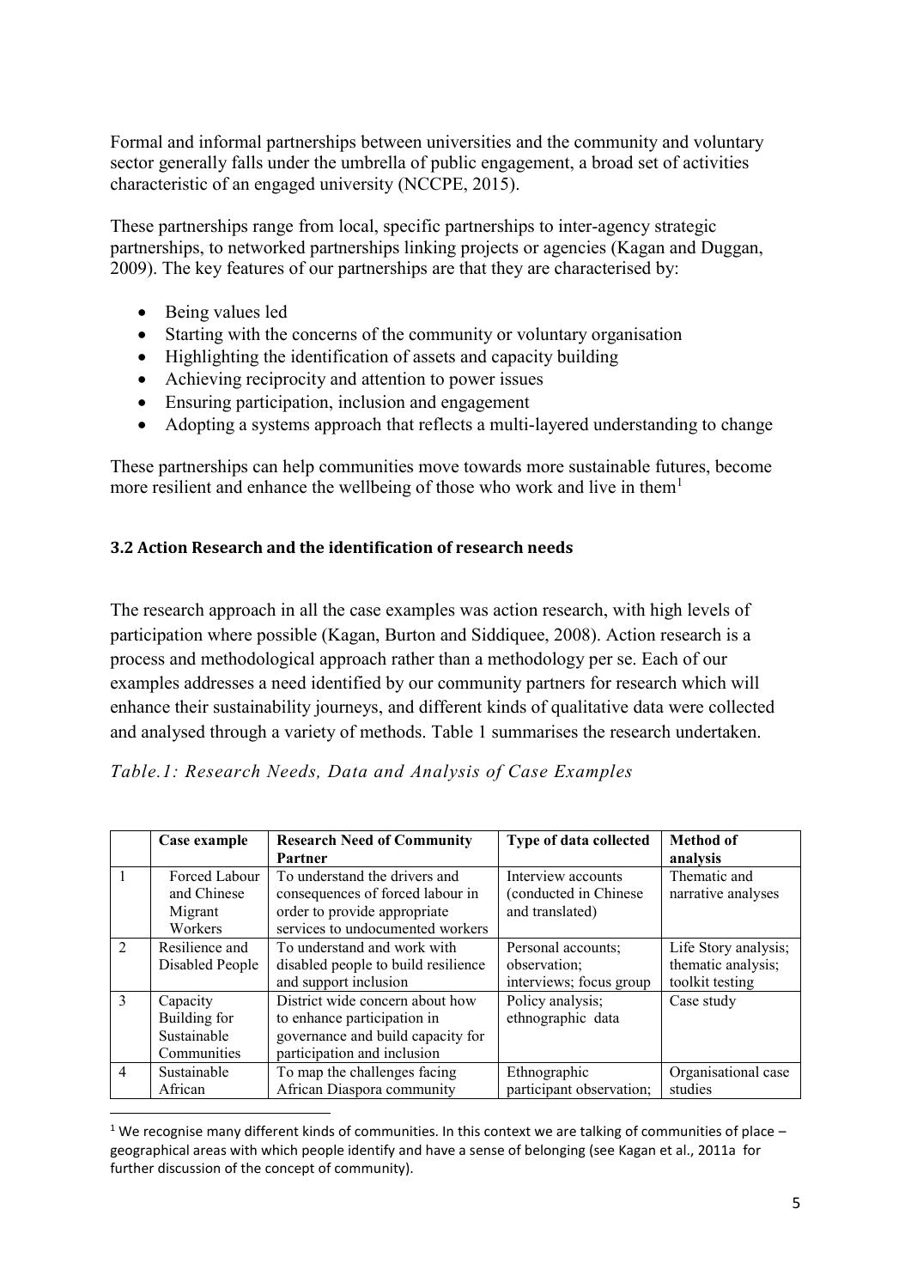Formal and informal partnerships between universities and the community and voluntary sector generally falls under the umbrella of public engagement, a broad set of activities characteristic of an engaged university (NCCPE, 2015).

These partnerships range from local, specific partnerships to inter-agency strategic partnerships, to networked partnerships linking projects or agencies (Kagan and Duggan, 2009). The key features of our partnerships are that they are characterised by:

• Being values led

**.** 

- Starting with the concerns of the community or voluntary organisation
- Highlighting the identification of assets and capacity building
- Achieving reciprocity and attention to power issues
- Ensuring participation, inclusion and engagement
- Adopting a systems approach that reflects a multi-layered understanding to change

These partnerships can help communities move towards more sustainable futures, become more resilient and enhance the wellbeing of those who work and live in them<sup>1</sup>

#### **3.2 Action Research and the identification of research needs**

The research approach in all the case examples was action research, with high levels of participation where possible (Kagan, Burton and Siddiquee, 2008). Action research is a process and methodological approach rather than a methodology per se. Each of our examples addresses a need identified by our community partners for research which will enhance their sustainability journeys, and different kinds of qualitative data were collected and analysed through a variety of methods. Table 1 summarises the research undertaken.

| Table.1: Research Needs, Data and Analysis of Case Examples |  |  |  |  |
|-------------------------------------------------------------|--|--|--|--|
|-------------------------------------------------------------|--|--|--|--|

|                | Case example                                           | <b>Research Need of Community</b><br>Partner                                                                                          | Type of data collected                                          | <b>Method of</b><br>analysis                                  |
|----------------|--------------------------------------------------------|---------------------------------------------------------------------------------------------------------------------------------------|-----------------------------------------------------------------|---------------------------------------------------------------|
|                | Forced Labour<br>and Chinese<br>Migrant<br>Workers     | To understand the drivers and<br>consequences of forced labour in<br>order to provide appropriate<br>services to undocumented workers | Interview accounts<br>(conducted in Chinese)<br>and translated) | Thematic and<br>narrative analyses                            |
| $\mathcal{D}$  | Resilience and<br>Disabled People                      | To understand and work with<br>disabled people to build resilience<br>and support inclusion                                           | Personal accounts;<br>observation;<br>interviews; focus group   | Life Story analysis;<br>thematic analysis;<br>toolkit testing |
| $\mathcal{L}$  | Capacity<br>Building for<br>Sustainable<br>Communities | District wide concern about how<br>to enhance participation in<br>governance and build capacity for<br>participation and inclusion    | Policy analysis;<br>ethnographic data                           | Case study                                                    |
| $\overline{4}$ | Sustainable<br>African                                 | To map the challenges facing<br>African Diaspora community                                                                            | Ethnographic<br>participant observation;                        | Organisational case<br>studies                                |

<sup>&</sup>lt;sup>1</sup> We recognise many different kinds of communities. In this context we are talking of communities of place – geographical areas with which people identify and have a sense of belonging (see Kagan et al., 2011a for further discussion of the concept of community).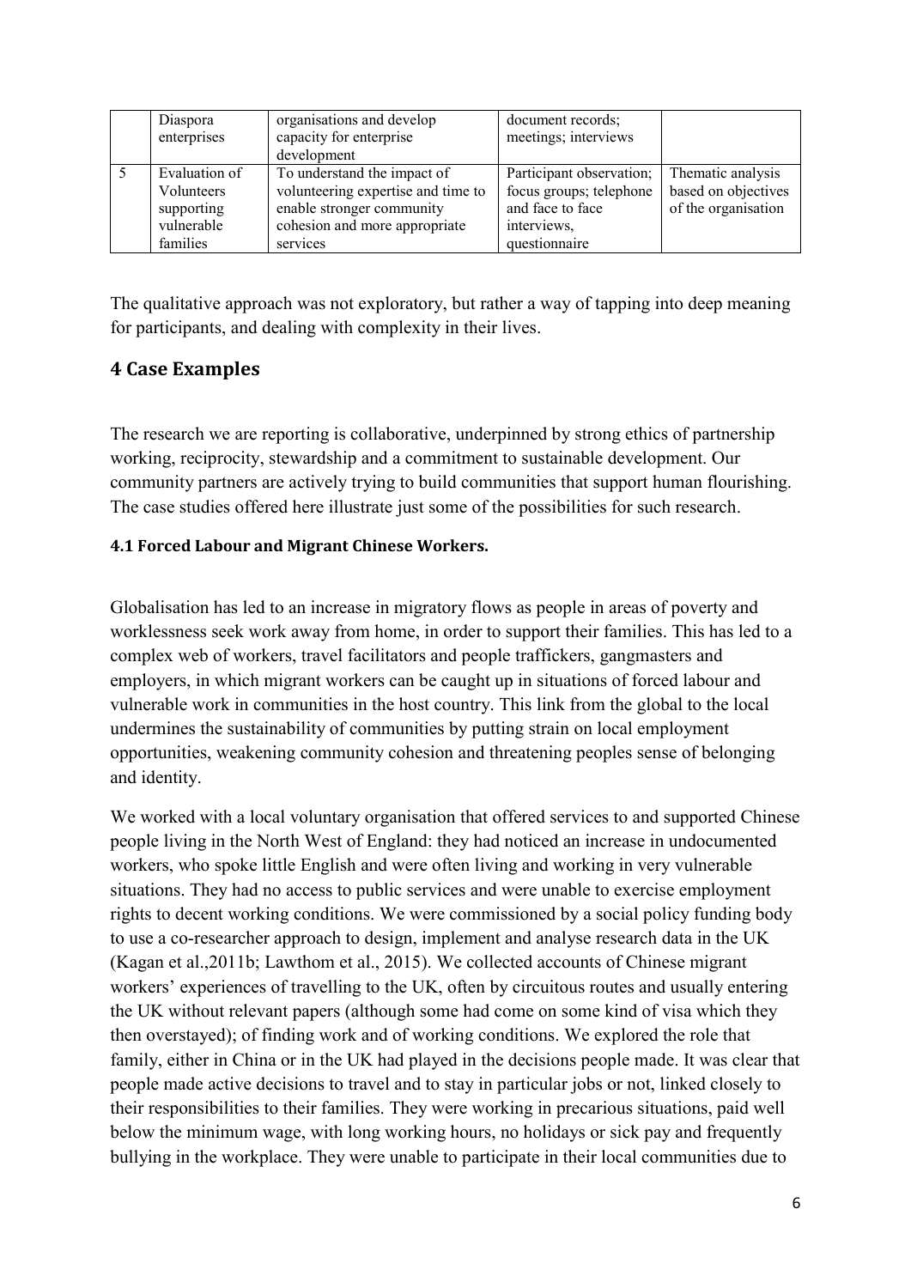| Diaspora      | organisations and develop          | document records:        |                     |
|---------------|------------------------------------|--------------------------|---------------------|
| enterprises   | capacity for enterprise            | meetings; interviews     |                     |
|               | development                        |                          |                     |
| Evaluation of | To understand the impact of        | Participant observation; | Thematic analysis   |
| Volunteers    | volunteering expertise and time to | focus groups; telephone  | based on objectives |
| supporting    | enable stronger community          | and face to face         | of the organisation |
| vulnerable    | cohesion and more appropriate      | interviews,              |                     |
| families      | services                           | questionnaire            |                     |

The qualitative approach was not exploratory, but rather a way of tapping into deep meaning for participants, and dealing with complexity in their lives.

## **4 Case Examples**

The research we are reporting is collaborative, underpinned by strong ethics of partnership working, reciprocity, stewardship and a commitment to sustainable development. Our community partners are actively trying to build communities that support human flourishing. The case studies offered here illustrate just some of the possibilities for such research.

### **4.1 Forced Labour and Migrant Chinese Workers.**

Globalisation has led to an increase in migratory flows as people in areas of poverty and worklessness seek work away from home, in order to support their families. This has led to a complex web of workers, travel facilitators and people traffickers, gangmasters and employers, in which migrant workers can be caught up in situations of forced labour and vulnerable work in communities in the host country. This link from the global to the local undermines the sustainability of communities by putting strain on local employment opportunities, weakening community cohesion and threatening peoples sense of belonging and identity.

We worked with a local voluntary organisation that offered services to and supported Chinese people living in the North West of England: they had noticed an increase in undocumented workers, who spoke little English and were often living and working in very vulnerable situations. They had no access to public services and were unable to exercise employment rights to decent working conditions. We were commissioned by a social policy funding body to use a co-researcher approach to design, implement and analyse research data in the UK (Kagan et al.,2011b; Lawthom et al., 2015). We collected accounts of Chinese migrant workers' experiences of travelling to the UK, often by circuitous routes and usually entering the UK without relevant papers (although some had come on some kind of visa which they then overstayed); of finding work and of working conditions. We explored the role that family, either in China or in the UK had played in the decisions people made. It was clear that people made active decisions to travel and to stay in particular jobs or not, linked closely to their responsibilities to their families. They were working in precarious situations, paid well below the minimum wage, with long working hours, no holidays or sick pay and frequently bullying in the workplace. They were unable to participate in their local communities due to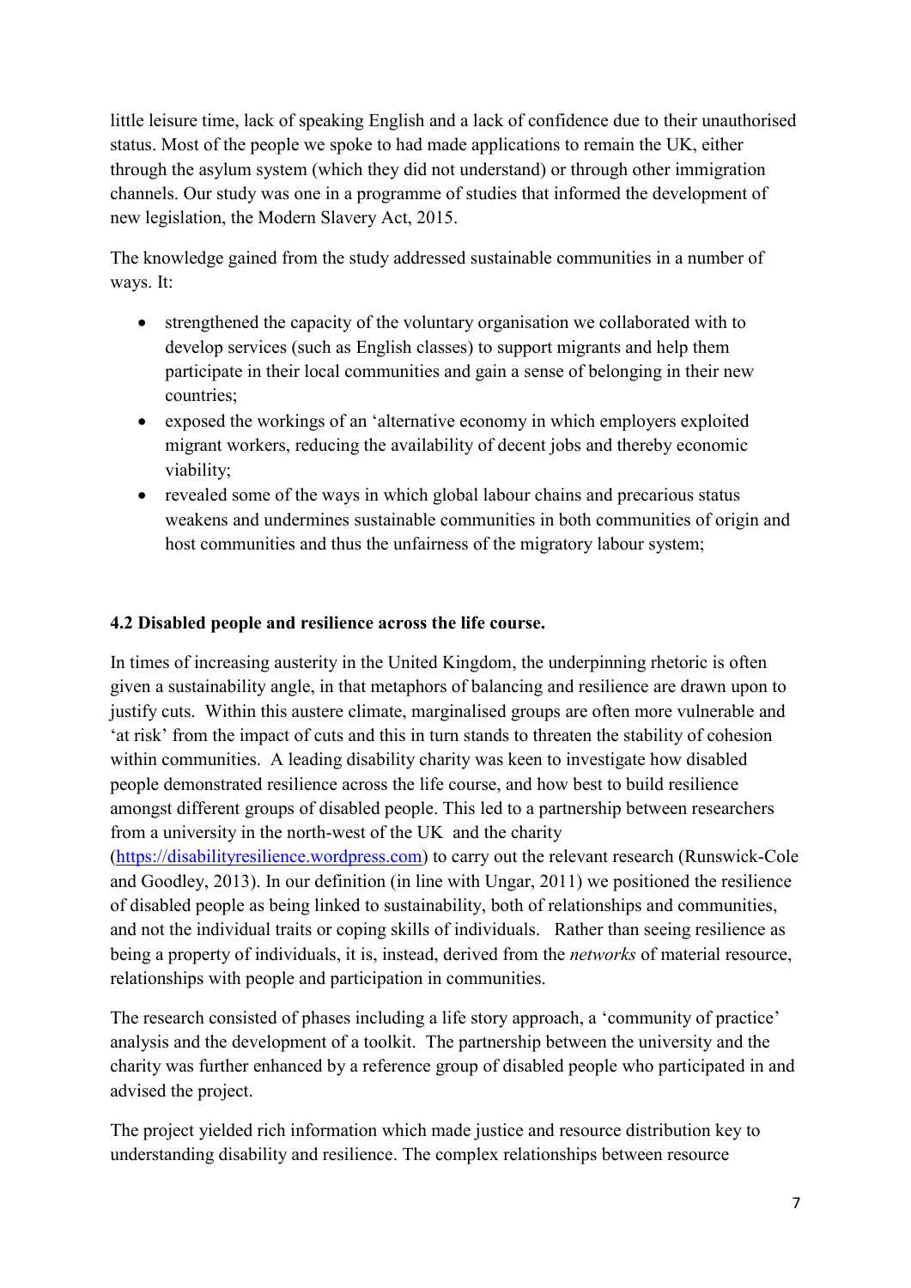little leisure time, lack of speaking English and a lack of confidence due to their unauthorised status. Most of the people we spoke to had made applications to remain the UK, either through the asylum system (which they did not understand) or through other immigration channels. Our study was one in a programme of studies that informed the development of new legislation, the Modern Slavery Act, 2015.

The knowledge gained from the study addressed sustainable communities in a number of ways. It:

- strengthened the capacity of the voluntary organisation we collaborated with to develop services (such as English classes) to support migrants and help them participate in their local communities and gain a sense of belonging in their new countries;
- exposed the workings of an 'alternative economy in which employers exploited migrant workers, reducing the availability of decent jobs and thereby economic viability;
- revealed some of the ways in which global labour chains and precarious status weakens and undermines sustainable communities in both communities of origin and host communities and thus the unfairness of the migratory labour system;

### **4.2 Disabled people and resilience across the life course.**

relationships with people and participation in communities.

In times of increasing austerity in the United Kingdom, the underpinning rhetoric is often given a sustainability angle, in that metaphors of balancing and resilience are drawn upon to justify cuts. Within this austere climate, marginalised groups are often more vulnerable and 'at risk' from the impact of cuts and this in turn stands to threaten the stability of cohesion within communities. A leading disability charity was keen to investigate how disabled people demonstrated resilience across the life course, and how best to build resilience amongst different groups of disabled people. This led to a partnership between researchers from a university in the north-west of the UK and the charity [\(https://disabilityresilience.wordpress.com\)](https://disabilityresilience.wordpress.com/) to carry out the relevant research (Runswick-Cole and Goodley, 2013). In our definition (in line with Ungar, 2011) we positioned the resilience of disabled people as being linked to sustainability, both of relationships and communities, and not the individual traits or coping skills of individuals. Rather than seeing resilience as being a property of individuals, it is, instead, derived from the *networks* of material resource,

The research consisted of phases including a life story approach, a 'community of practice' analysis and the development of a toolkit. The partnership between the university and the charity was further enhanced by a reference group of disabled people who participated in and advised the project.

The project yielded rich information which made justice and resource distribution key to understanding disability and resilience. The complex relationships between resource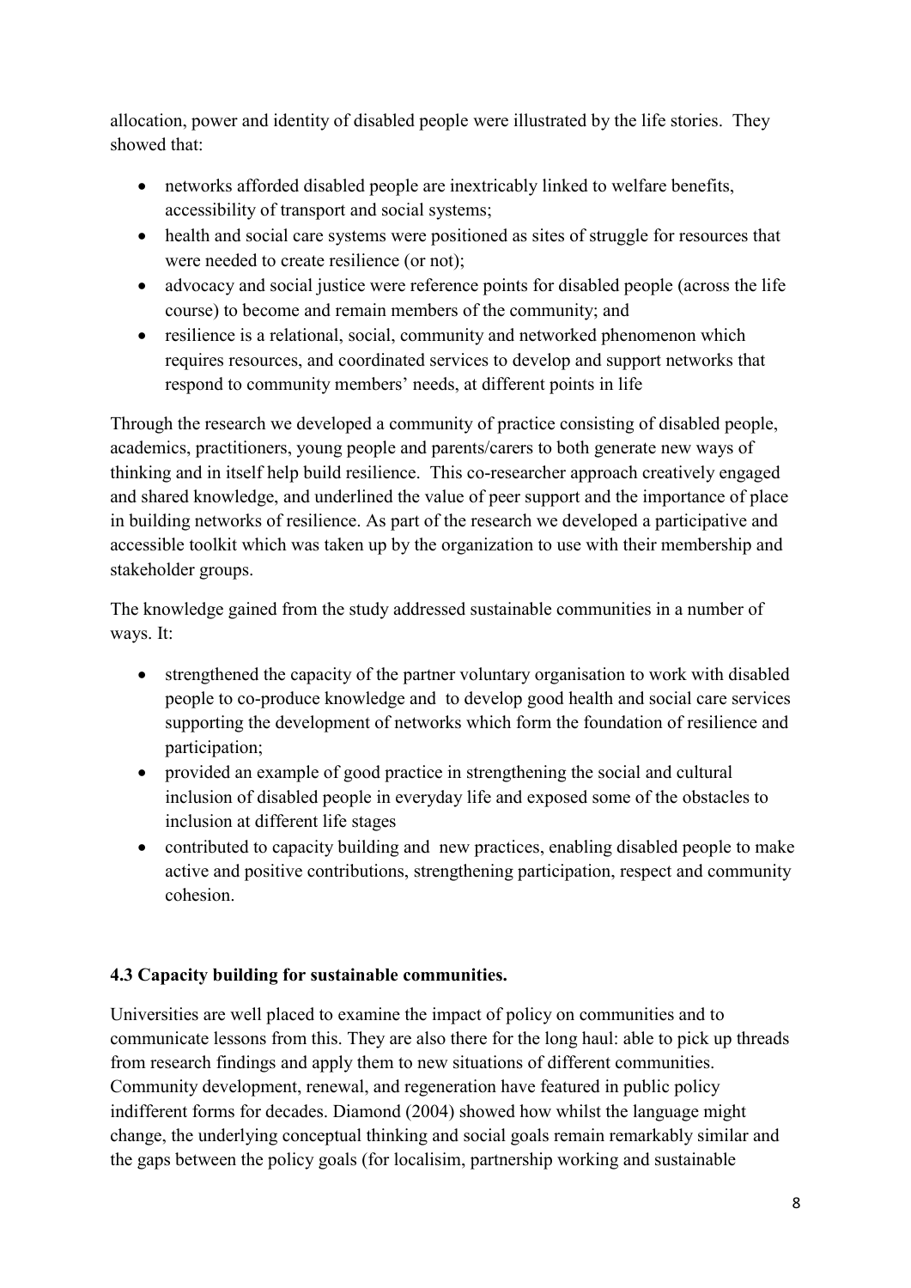allocation, power and identity of disabled people were illustrated by the life stories. They showed that:

- networks afforded disabled people are inextricably linked to welfare benefits, accessibility of transport and social systems;
- health and social care systems were positioned as sites of struggle for resources that were needed to create resilience (or not);
- advocacy and social justice were reference points for disabled people (across the life course) to become and remain members of the community; and
- resilience is a relational, social, community and networked phenomenon which requires resources, and coordinated services to develop and support networks that respond to community members' needs, at different points in life

Through the research we developed a community of practice consisting of disabled people, academics, practitioners, young people and parents/carers to both generate new ways of thinking and in itself help build resilience. This co-researcher approach creatively engaged and shared knowledge, and underlined the value of peer support and the importance of place in building networks of resilience. As part of the research we developed a participative and accessible toolkit which was taken up by the organization to use with their membership and stakeholder groups.

The knowledge gained from the study addressed sustainable communities in a number of ways. It:

- strengthened the capacity of the partner voluntary organisation to work with disabled people to co-produce knowledge and to develop good health and social care services supporting the development of networks which form the foundation of resilience and participation;
- provided an example of good practice in strengthening the social and cultural inclusion of disabled people in everyday life and exposed some of the obstacles to inclusion at different life stages
- contributed to capacity building and new practices, enabling disabled people to make active and positive contributions, strengthening participation, respect and community cohesion.

## **4.3 Capacity building for sustainable communities.**

Universities are well placed to examine the impact of policy on communities and to communicate lessons from this. They are also there for the long haul: able to pick up threads from research findings and apply them to new situations of different communities. Community development, renewal, and regeneration have featured in public policy indifferent forms for decades. Diamond (2004) showed how whilst the language might change, the underlying conceptual thinking and social goals remain remarkably similar and the gaps between the policy goals (for localisim, partnership working and sustainable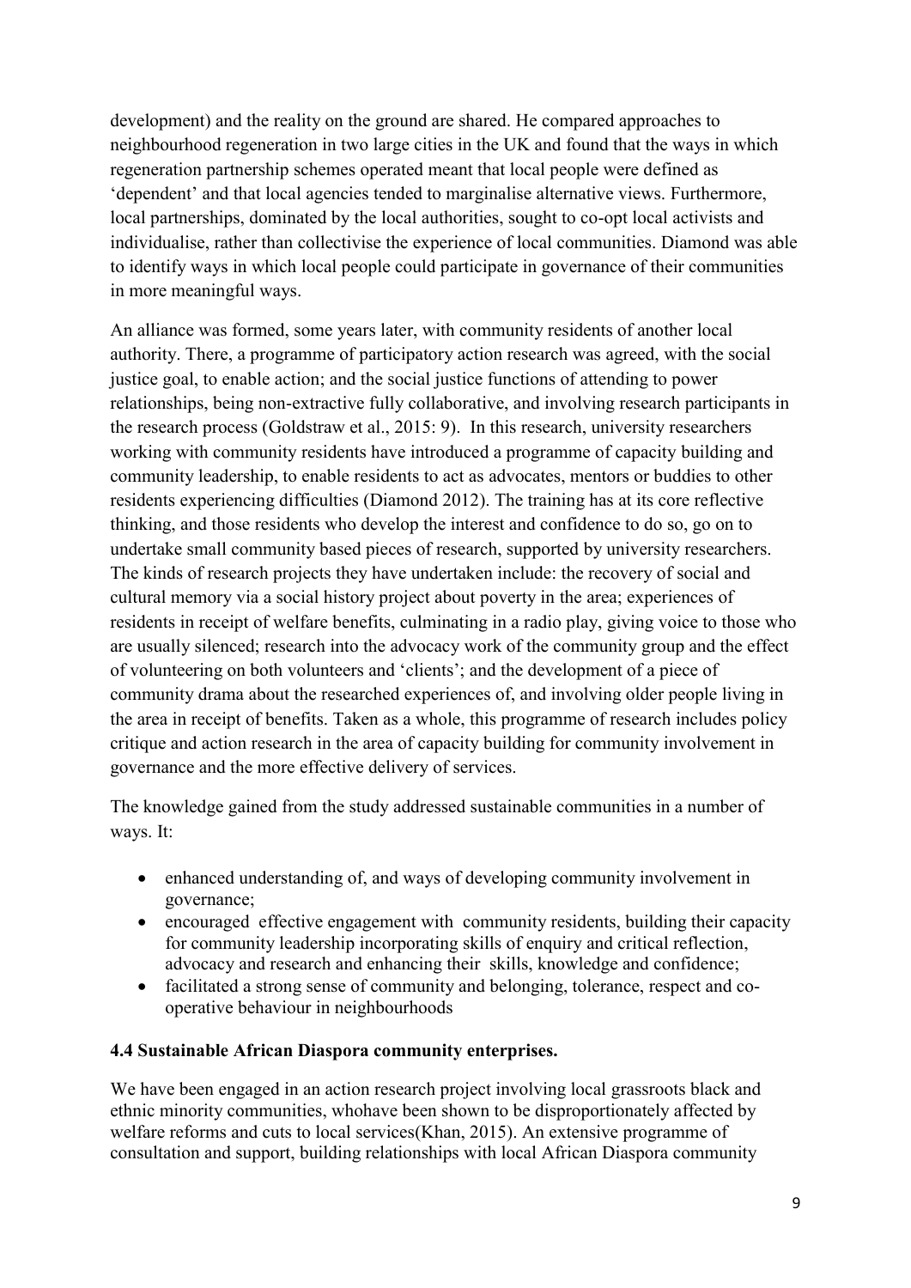development) and the reality on the ground are shared. He compared approaches to neighbourhood regeneration in two large cities in the UK and found that the ways in which regeneration partnership schemes operated meant that local people were defined as 'dependent' and that local agencies tended to marginalise alternative views. Furthermore, local partnerships, dominated by the local authorities, sought to co-opt local activists and individualise, rather than collectivise the experience of local communities. Diamond was able to identify ways in which local people could participate in governance of their communities in more meaningful ways.

An alliance was formed, some years later, with community residents of another local authority. There, a programme of participatory action research was agreed, with the social justice goal, to enable action; and the social justice functions of attending to power relationships, being non-extractive fully collaborative, and involving research participants in the research process (Goldstraw et al., 2015: 9). In this research, university researchers working with community residents have introduced a programme of capacity building and community leadership, to enable residents to act as advocates, mentors or buddies to other residents experiencing difficulties (Diamond 2012). The training has at its core reflective thinking, and those residents who develop the interest and confidence to do so, go on to undertake small community based pieces of research, supported by university researchers. The kinds of research projects they have undertaken include: the recovery of social and cultural memory via a social history project about poverty in the area; experiences of residents in receipt of welfare benefits, culminating in a radio play, giving voice to those who are usually silenced; research into the advocacy work of the community group and the effect of volunteering on both volunteers and 'clients'; and the development of a piece of community drama about the researched experiences of, and involving older people living in the area in receipt of benefits. Taken as a whole, this programme of research includes policy critique and action research in the area of capacity building for community involvement in governance and the more effective delivery of services.

The knowledge gained from the study addressed sustainable communities in a number of ways. It:

- enhanced understanding of, and ways of developing community involvement in governance;
- encouraged effective engagement with community residents, building their capacity for community leadership incorporating skills of enquiry and critical reflection, advocacy and research and enhancing their skills, knowledge and confidence;
- facilitated a strong sense of community and belonging, tolerance, respect and cooperative behaviour in neighbourhoods

### **4.4 Sustainable African Diaspora community enterprises.**

We have been engaged in an action research project involving local grassroots black and ethnic minority communities, whohave been shown to be disproportionately affected by welfare reforms and cuts to local services(Khan, 2015). An extensive programme of consultation and support, building relationships with local African Diaspora community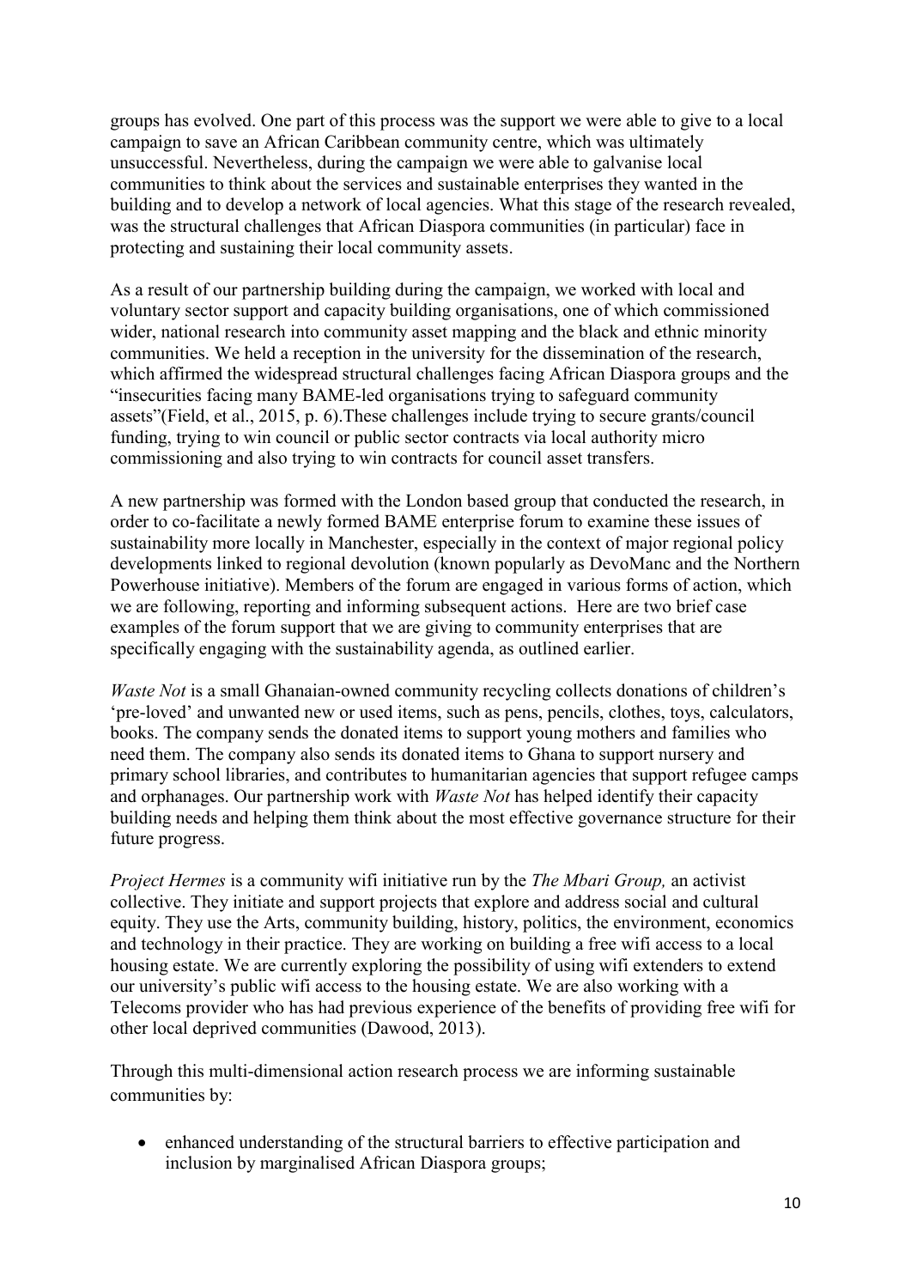groups has evolved. One part of this process was the support we were able to give to a local campaign to save an African Caribbean community centre, which was ultimately unsuccessful. Nevertheless, during the campaign we were able to galvanise local communities to think about the services and sustainable enterprises they wanted in the building and to develop a network of local agencies. What this stage of the research revealed, was the structural challenges that African Diaspora communities (in particular) face in protecting and sustaining their local community assets.

As a result of our partnership building during the campaign, we worked with local and voluntary sector support and capacity building organisations, one of which commissioned wider, national research into community asset mapping and the black and ethnic minority communities. We held a reception in the university for the dissemination of the research, which affirmed the widespread structural challenges facing African Diaspora groups and the "insecurities facing many BAME-led organisations trying to safeguard community assets"(Field, et al., 2015, p. 6).These challenges include trying to secure grants/council funding, trying to win council or public sector contracts via local authority micro commissioning and also trying to win contracts for council asset transfers.

A new partnership was formed with the London based group that conducted the research, in order to co-facilitate a newly formed BAME enterprise forum to examine these issues of sustainability more locally in Manchester, especially in the context of major regional policy developments linked to regional devolution (known popularly as DevoManc and the Northern Powerhouse initiative). Members of the forum are engaged in various forms of action, which we are following, reporting and informing subsequent actions. Here are two brief case examples of the forum support that we are giving to community enterprises that are specifically engaging with the sustainability agenda, as outlined earlier.

*Waste Not* is a small Ghanaian-owned community recycling collects donations of children's 'pre-loved' and unwanted new or used items, such as pens, pencils, clothes, toys, calculators, books. The company sends the donated items to support young mothers and families who need them. The company also sends its donated items to Ghana to support nursery and primary school libraries, and contributes to humanitarian agencies that support refugee camps and orphanages. Our partnership work with *Waste Not* has helped identify their capacity building needs and helping them think about the most effective governance structure for their future progress.

*Project Hermes* is a community wifi initiative run by the *The Mbari Group,* an activist collective. They initiate and support projects that explore and address social and cultural equity. They use the Arts, community building, history, politics, the environment, economics and technology in their practice. They are working on building a free wifi access to a local housing estate. We are currently exploring the possibility of using wifi extenders to extend our university's public wifi access to the housing estate. We are also working with a Telecoms provider who has had previous experience of the benefits of providing free wifi for other local deprived communities (Dawood, 2013).

Through this multi-dimensional action research process we are informing sustainable communities by:

 enhanced understanding of the structural barriers to effective participation and inclusion by marginalised African Diaspora groups;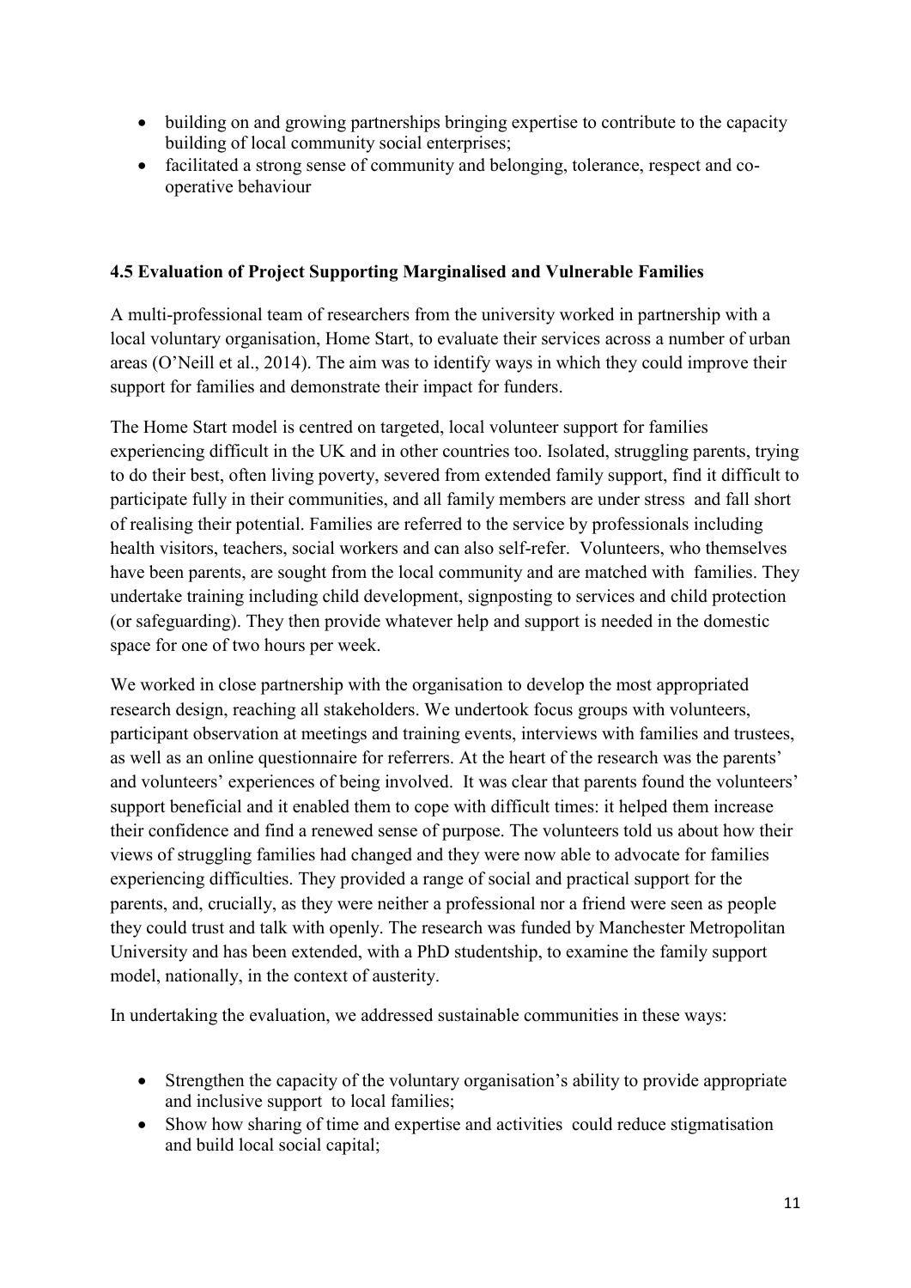- building on and growing partnerships bringing expertise to contribute to the capacity building of local community social enterprises;
- facilitated a strong sense of community and belonging, tolerance, respect and cooperative behaviour

### **4.5 Evaluation of Project Supporting Marginalised and Vulnerable Families**

A multi-professional team of researchers from the university worked in partnership with a local voluntary organisation, Home Start, to evaluate their services across a number of urban areas (O'Neill et al., 2014). The aim was to identify ways in which they could improve their support for families and demonstrate their impact for funders.

The Home Start model is centred on targeted, local volunteer support for families experiencing difficult in the UK and in other countries too. Isolated, struggling parents, trying to do their best, often living poverty, severed from extended family support, find it difficult to participate fully in their communities, and all family members are under stress and fall short of realising their potential. Families are referred to the service by professionals including health visitors, teachers, social workers and can also self-refer. Volunteers, who themselves have been parents, are sought from the local community and are matched with families. They undertake training including child development, signposting to services and child protection (or safeguarding). They then provide whatever help and support is needed in the domestic space for one of two hours per week.

We worked in close partnership with the organisation to develop the most appropriated research design, reaching all stakeholders. We undertook focus groups with volunteers, participant observation at meetings and training events, interviews with families and trustees, as well as an online questionnaire for referrers. At the heart of the research was the parents' and volunteers' experiences of being involved. It was clear that parents found the volunteers' support beneficial and it enabled them to cope with difficult times: it helped them increase their confidence and find a renewed sense of purpose. The volunteers told us about how their views of struggling families had changed and they were now able to advocate for families experiencing difficulties. They provided a range of social and practical support for the parents, and, crucially, as they were neither a professional nor a friend were seen as people they could trust and talk with openly. The research was funded by Manchester Metropolitan University and has been extended, with a PhD studentship, to examine the family support model, nationally, in the context of austerity.

In undertaking the evaluation, we addressed sustainable communities in these ways:

- Strengthen the capacity of the voluntary organisation's ability to provide appropriate and inclusive support to local families;
- Show how sharing of time and expertise and activities could reduce stigmatisation and build local social capital;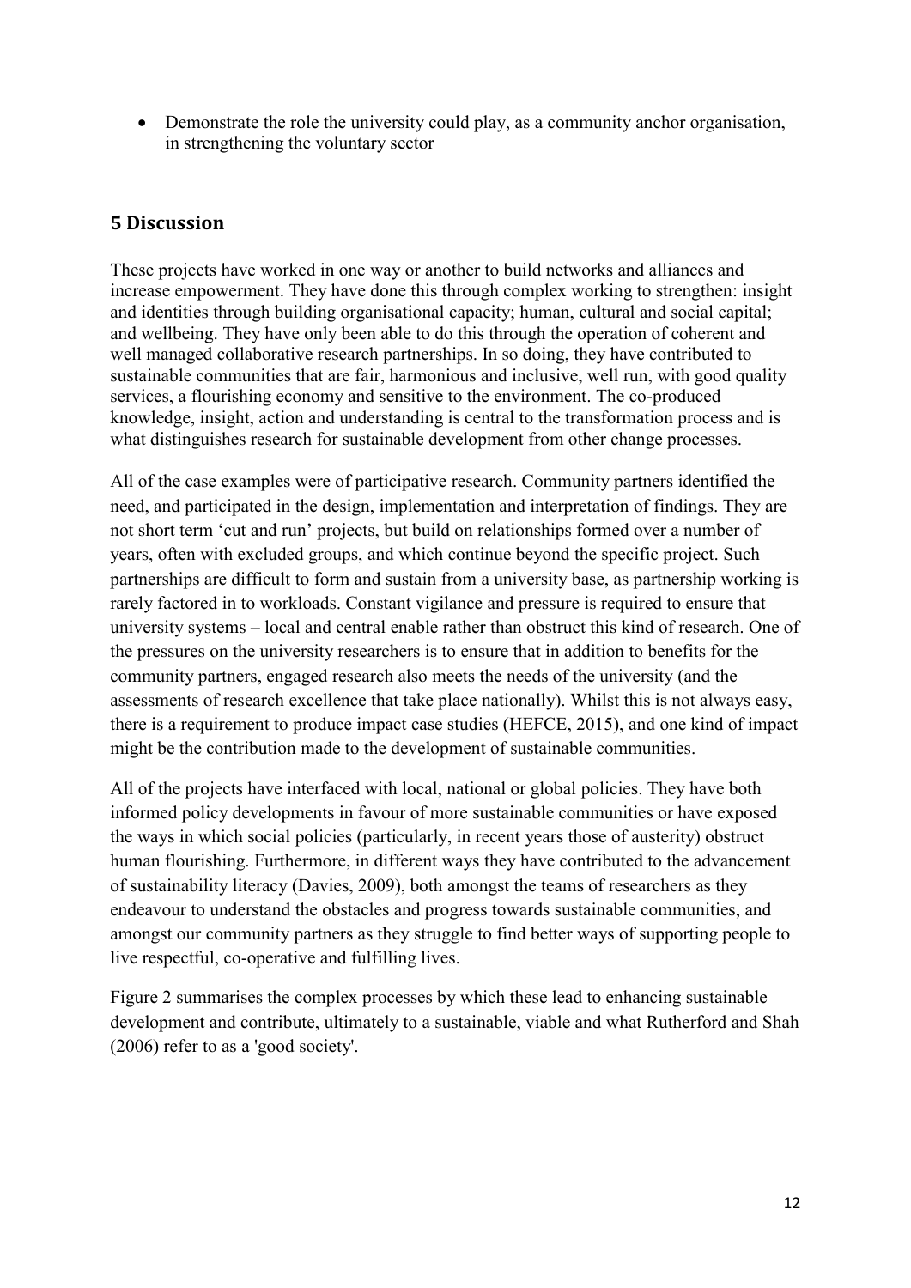Demonstrate the role the university could play, as a community anchor organisation, in strengthening the voluntary sector

### **5 Discussion**

These projects have worked in one way or another to build networks and alliances and increase empowerment. They have done this through complex working to strengthen: insight and identities through building organisational capacity; human, cultural and social capital; and wellbeing. They have only been able to do this through the operation of coherent and well managed collaborative research partnerships. In so doing, they have contributed to sustainable communities that are fair, harmonious and inclusive, well run, with good quality services, a flourishing economy and sensitive to the environment. The co-produced knowledge, insight, action and understanding is central to the transformation process and is what distinguishes research for sustainable development from other change processes.

All of the case examples were of participative research. Community partners identified the need, and participated in the design, implementation and interpretation of findings. They are not short term 'cut and run' projects, but build on relationships formed over a number of years, often with excluded groups, and which continue beyond the specific project. Such partnerships are difficult to form and sustain from a university base, as partnership working is rarely factored in to workloads. Constant vigilance and pressure is required to ensure that university systems – local and central enable rather than obstruct this kind of research. One of the pressures on the university researchers is to ensure that in addition to benefits for the community partners, engaged research also meets the needs of the university (and the assessments of research excellence that take place nationally). Whilst this is not always easy, there is a requirement to produce impact case studies (HEFCE, 2015), and one kind of impact might be the contribution made to the development of sustainable communities.

All of the projects have interfaced with local, national or global policies. They have both informed policy developments in favour of more sustainable communities or have exposed the ways in which social policies (particularly, in recent years those of austerity) obstruct human flourishing. Furthermore, in different ways they have contributed to the advancement of sustainability literacy (Davies, 2009), both amongst the teams of researchers as they endeavour to understand the obstacles and progress towards sustainable communities, and amongst our community partners as they struggle to find better ways of supporting people to live respectful, co-operative and fulfilling lives.

Figure 2 summarises the complex processes by which these lead to enhancing sustainable development and contribute, ultimately to a sustainable, viable and what Rutherford and Shah (2006) refer to as a 'good society'.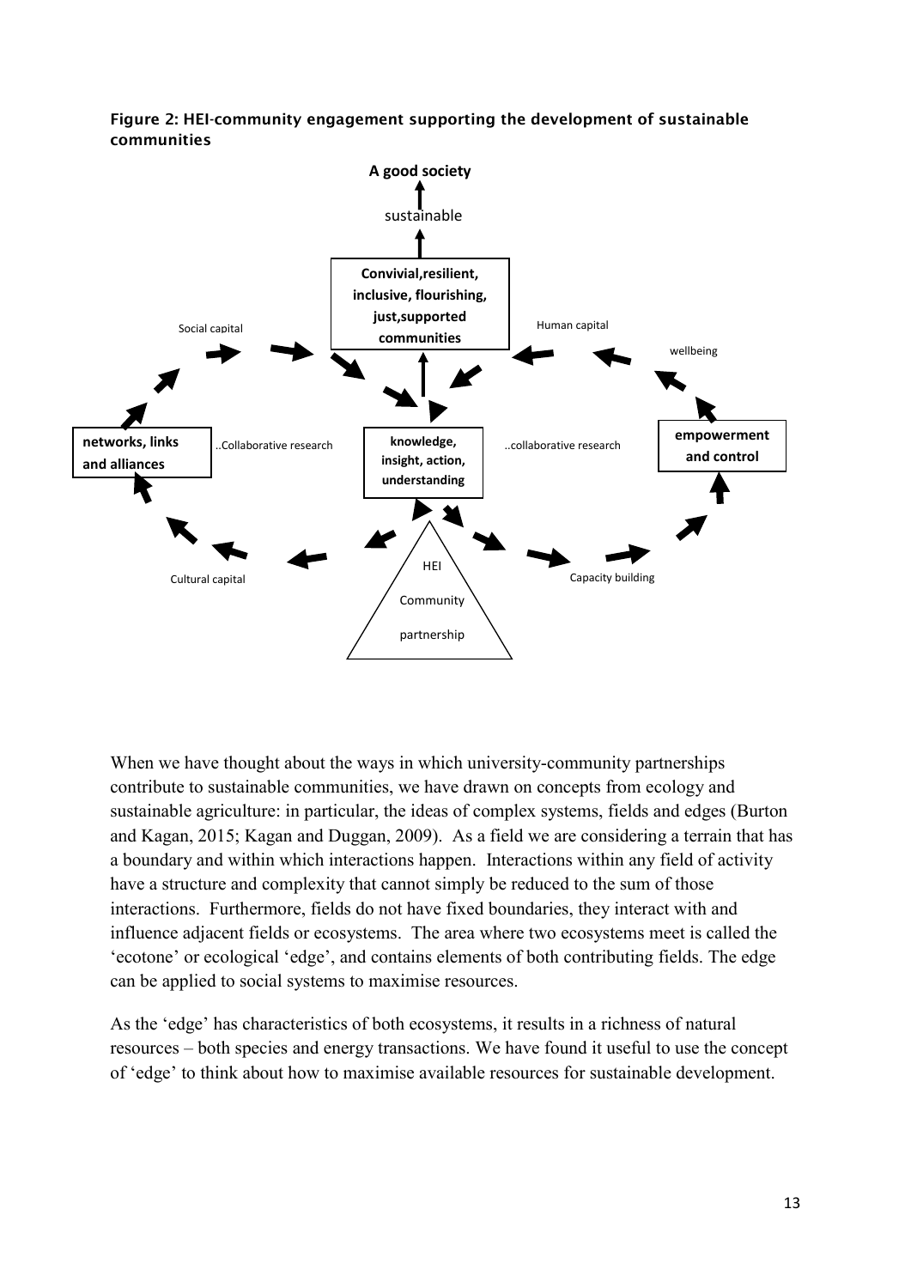

Figure 2: HEI-community engagement supporting the development of sustainable communities

When we have thought about the ways in which university-community partnerships contribute to sustainable communities, we have drawn on concepts from ecology and sustainable agriculture: in particular, the ideas of complex systems, fields and edges (Burton and Kagan, 2015; Kagan and Duggan, 2009). As a field we are considering a terrain that has a boundary and within which interactions happen. Interactions within any field of activity have a structure and complexity that cannot simply be reduced to the sum of those interactions. Furthermore, fields do not have fixed boundaries, they interact with and influence adjacent fields or ecosystems. The area where two ecosystems meet is called the 'ecotone' or ecological 'edge', and contains elements of both contributing fields. The edge can be applied to social systems to maximise resources.

As the 'edge' has characteristics of both ecosystems, it results in a richness of natural resources – both species and energy transactions. We have found it useful to use the concept of 'edge' to think about how to maximise available resources for sustainable development.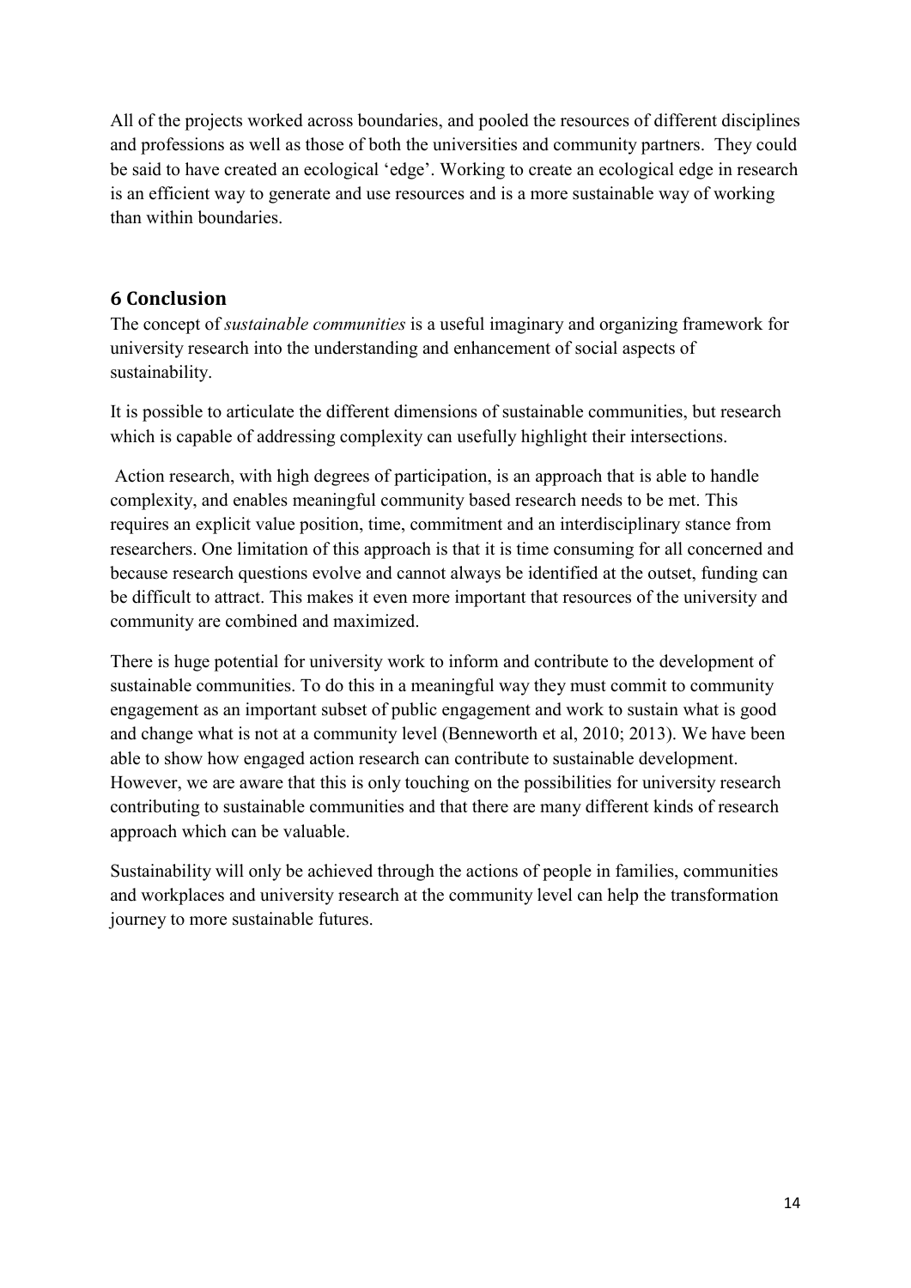All of the projects worked across boundaries, and pooled the resources of different disciplines and professions as well as those of both the universities and community partners. They could be said to have created an ecological 'edge'. Working to create an ecological edge in research is an efficient way to generate and use resources and is a more sustainable way of working than within boundaries.

### **6 Conclusion**

The concept of *sustainable communities* is a useful imaginary and organizing framework for university research into the understanding and enhancement of social aspects of sustainability.

It is possible to articulate the different dimensions of sustainable communities, but research which is capable of addressing complexity can usefully highlight their intersections.

Action research, with high degrees of participation, is an approach that is able to handle complexity, and enables meaningful community based research needs to be met. This requires an explicit value position, time, commitment and an interdisciplinary stance from researchers. One limitation of this approach is that it is time consuming for all concerned and because research questions evolve and cannot always be identified at the outset, funding can be difficult to attract. This makes it even more important that resources of the university and community are combined and maximized.

There is huge potential for university work to inform and contribute to the development of sustainable communities. To do this in a meaningful way they must commit to community engagement as an important subset of public engagement and work to sustain what is good and change what is not at a community level (Benneworth et al, 2010; 2013). We have been able to show how engaged action research can contribute to sustainable development. However, we are aware that this is only touching on the possibilities for university research contributing to sustainable communities and that there are many different kinds of research approach which can be valuable.

Sustainability will only be achieved through the actions of people in families, communities and workplaces and university research at the community level can help the transformation journey to more sustainable futures.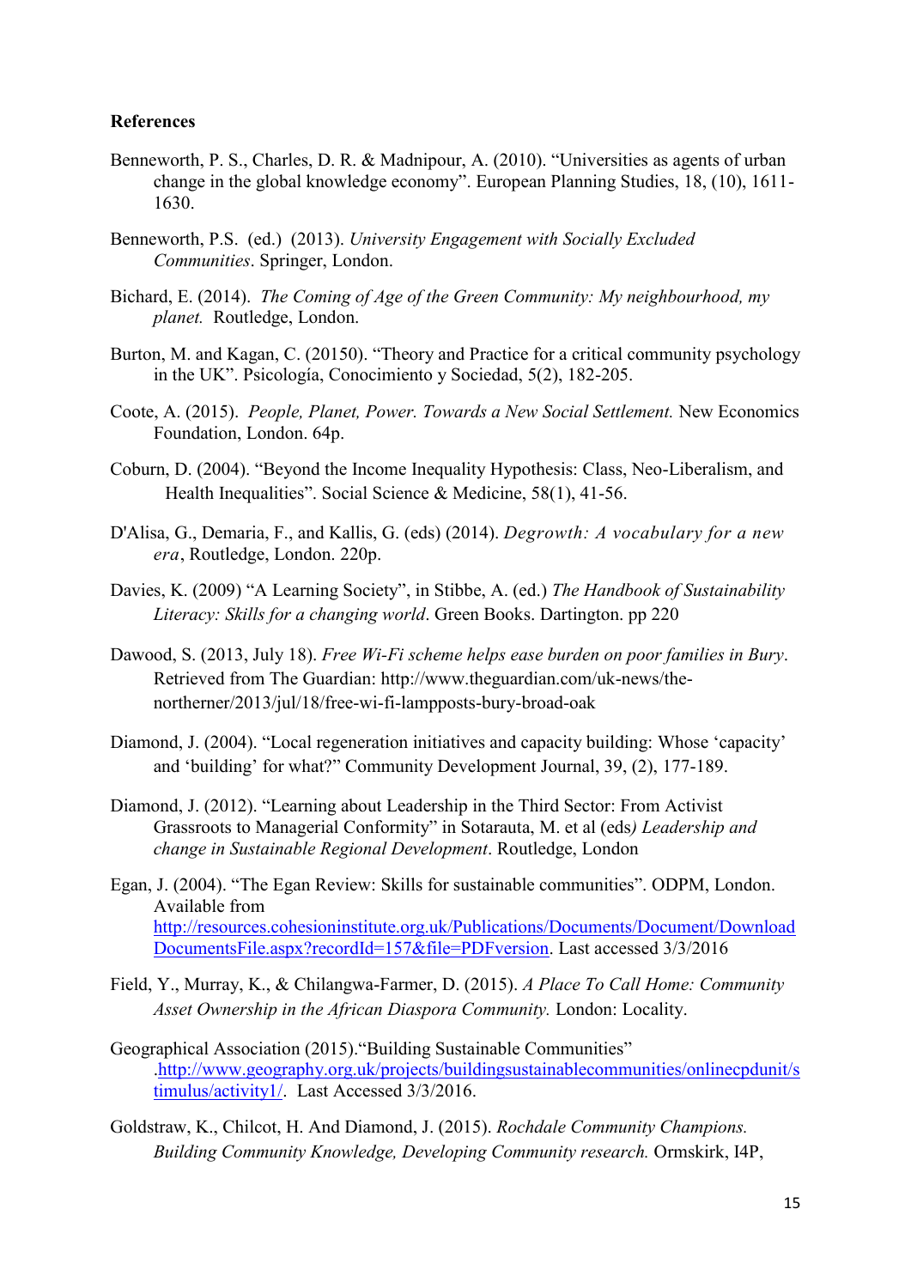#### **References**

- Benneworth, P. S., Charles, D. R. & Madnipour, A. (2010). "Universities as agents of urban change in the global knowledge economy". European Planning Studies, 18, (10), 1611- 1630.
- Benneworth, P.S. (ed.) (2013). *University Engagement with Socially Excluded Communities*. Springer, London.
- Bichard, E. (2014). *The Coming of Age of the Green Community: My neighbourhood, my planet.* Routledge, London.
- Burton, M. and Kagan, C. (20150). "Theory and Practice for a critical community psychology in the UK". Psicología, Conocimiento y Sociedad, 5(2), 182-205.
- Coote, A. (2015). *People, Planet, Power. Towards a New Social Settlement.* New Economics Foundation, London. 64p.
- Coburn, D. (2004). "Beyond the Income Inequality Hypothesis: Class, Neo-Liberalism, and Health Inequalities". Social Science & Medicine, 58(1), 41-56.
- D'Alisa, G., Demaria, F., and Kallis, G. (eds) (2014). *Degrowth: A vocabulary for a new era*, Routledge, London. 220p.
- Davies, K. (2009) "A Learning Society", in Stibbe, A. (ed.) *The Handbook of Sustainability Literacy: Skills for a changing world*. Green Books. Dartington. pp 220
- Dawood, S. (2013, July 18). *Free Wi-Fi scheme helps ease burden on poor families in Bury*. Retrieved from The Guardian: http://www.theguardian.com/uk-news/thenortherner/2013/jul/18/free-wi-fi-lampposts-bury-broad-oak
- Diamond, J. (2004). "Local regeneration initiatives and capacity building: Whose 'capacity' and 'building' for what?" Community Development Journal, 39, (2), 177-189.
- Diamond, J. (2012). "Learning about Leadership in the Third Sector: From Activist Grassroots to Managerial Conformity" in Sotarauta, M. et al (eds*) Leadership and change in Sustainable Regional Development*. Routledge, London
- Egan, J. (2004). "The Egan Review: Skills for sustainable communities". ODPM, London. Available from [http://resources.cohesioninstitute.org.uk/Publications/Documents/Document/Download](http://resources.cohesioninstitute.org.uk/Publications/Documents/Document/DownloadDocumentsFile.aspx?recordId=157&file=PDFversion) [DocumentsFile.aspx?recordId=157&file=PDFversion.](http://resources.cohesioninstitute.org.uk/Publications/Documents/Document/DownloadDocumentsFile.aspx?recordId=157&file=PDFversion) Last accessed 3/3/2016
- Field, Y., Murray, K., & Chilangwa-Farmer, D. (2015). *A Place To Call Home: Community Asset Ownership in the African Diaspora Community.* London: Locality.
- Geographical Association (2015)."Building Sustainable Communities" [.http://www.geography.org.uk/projects/buildingsustainablecommunities/onlinecpdunit/s](http://www.geography.org.uk/projects/buildingsustainablecommunities/onlinecpdunit/stimulus/activity1/) [timulus/activity1/.](http://www.geography.org.uk/projects/buildingsustainablecommunities/onlinecpdunit/stimulus/activity1/) Last Accessed 3/3/2016.
- Goldstraw, K., Chilcot, H. And Diamond, J. (2015). *Rochdale Community Champions. Building Community Knowledge, Developing Community research.* Ormskirk, I4P,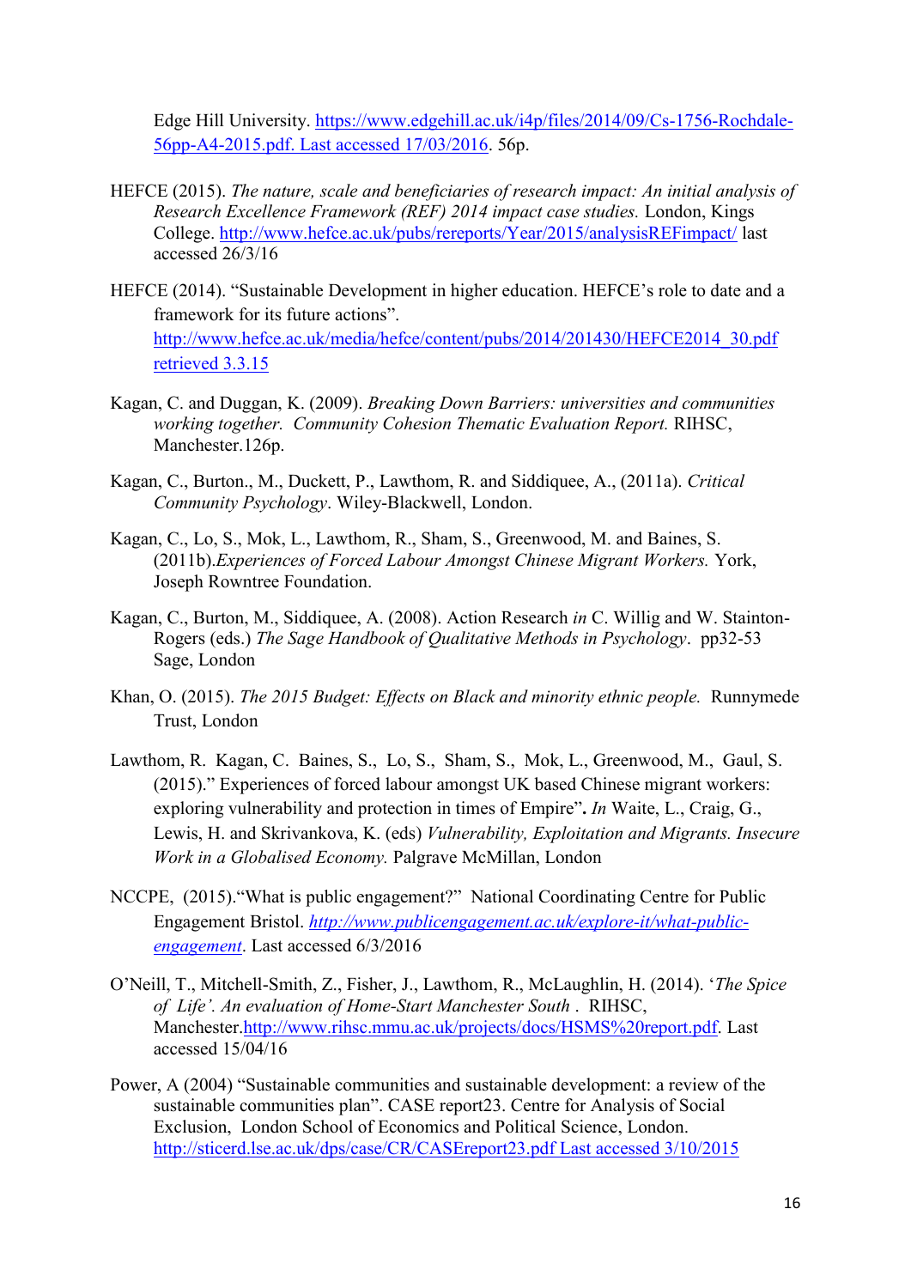Edge Hill University. [https://www.edgehill.ac.uk/i4p/files/2014/09/Cs-1756-Rochdale-](https://www.edgehill.ac.uk/i4p/files/2014/09/Cs-1756-Rochdale-56pp-A4-2015.pdf.%20Last%20accessed%2017/03/2016)[56pp-A4-2015.pdf. Last accessed 17/03/2016.](https://www.edgehill.ac.uk/i4p/files/2014/09/Cs-1756-Rochdale-56pp-A4-2015.pdf.%20Last%20accessed%2017/03/2016) 56p.

- HEFCE (2015). *The nature, scale and beneficiaries of research impact: An initial analysis of Research Excellence Framework (REF) 2014 impact case studies.* London, Kings College.<http://www.hefce.ac.uk/pubs/rereports/Year/2015/analysisREFimpact/> last accessed 26/3/16
- HEFCE (2014). "Sustainable Development in higher education. HEFCE's role to date and a framework for its future actions". [http://www.hefce.ac.uk/media/hefce/content/pubs/2014/201430/HEFCE2014\\_30.pdf](http://www.hefce.ac.uk/media/hefce/content/pubs/2014/201430/HEFCE2014_30.pdf%20retrieved%203.3.15)  [retrieved 3.3.15](http://www.hefce.ac.uk/media/hefce/content/pubs/2014/201430/HEFCE2014_30.pdf%20retrieved%203.3.15)
- Kagan, C. and Duggan, K. (2009). *Breaking Down Barriers: universities and communities working together. Community Cohesion Thematic Evaluation Report.* RIHSC, Manchester.126p.
- Kagan, C., Burton., M., Duckett, P., Lawthom, R. and Siddiquee, A., (2011a). *Critical Community Psychology*. Wiley-Blackwell, London.
- Kagan, C., Lo, S., Mok, L., Lawthom, R., Sham, S., Greenwood, M. and Baines, S. (2011b).*Experiences of Forced Labour Amongst Chinese Migrant Workers.* York, Joseph Rowntree Foundation.
- Kagan, C., Burton, M., Siddiquee, A. (2008). Action Research *in* C. Willig and W. Stainton-Rogers (eds.) *The Sage Handbook of Qualitative Methods in Psychology*. pp32-53 Sage, London
- Khan, O. (2015). *The 2015 Budget: Effects on Black and minority ethnic people.* Runnymede Trust, London
- Lawthom, R. Kagan, C. Baines, S., Lo, S., Sham, S., Mok, L., Greenwood, M., Gaul, S. (2015)." Experiences of forced labour amongst UK based Chinese migrant workers: exploring vulnerability and protection in times of Empire"**.** *In* [Waite,](http://www.palgrave.com/authors/author-detail/Louise-Waite/26892) L., [Craig,](http://www.palgrave.com/authors/author-detail/Gary-Craig/7682) G., [Lewis,](http://www.palgrave.com/authors/author-detail/Hannah-Lewis/50601) H. and Skrivankova, K. (eds) *Vulnerability, Exploitation and Migrants. Insecure Work in a Globalised Economy.* Palgrave McMillan, London
- NCCPE, (2015)."What is public engagement?" National Coordinating Centre for Public Engagement Bristol. *[http://www.publicengagement.ac.uk/explore-it/what-public](http://www.publicengagement.ac.uk/explore-it/what-public-engagement)[engagement](http://www.publicengagement.ac.uk/explore-it/what-public-engagement)*. Last accessed 6/3/2016
- O'Neill, T., Mitchell-Smith, Z., Fisher, J., Lawthom, R., McLaughlin, H. (2014). '*The Spice of Life'. An evaluation of Home-Start Manchester South* . RIHSC, Manchester[.http://www.rihsc.mmu.ac.uk/projects/docs/HSMS%20report.pdf.](https://outlook.mmu.ac.uk/owa/redir.aspx?SURL=dp1SwHZER4NBZJGcGTQXf3XxI6_oGBry-MZxCcis0-mjWGVOgFjTCGgAdAB0AHAAOgAvAC8AdwB3AHcALgByAGkAaABzAGMALgBtAG0AdQAuAGEAYwAuAHUAawAvAHAAcgBvAGoAZQBjAHQAcwAvAGQAbwBjAHMALwBIAFMATQBTACUAMgAwAHIAZQBwAG8AcgB0AC4AcABkAGYA&URL=http%3a%2f%2fwww.rihsc.mmu.ac.uk%2fprojects%2fdocs%2fHSMS%2520report.pdf) Last accessed 15/04/16
- Power, A (2004) "[Sustainable communities and sustainable development: a review of the](http://eprints.lse.ac.uk/28313/)  [sustainable communities plan](http://eprints.lse.ac.uk/28313/)". CASE report23. Centre for Analysis of Social Exclusion, London School of Economics and Political Science, London. [http://sticerd.lse.ac.uk/dps/case/CR/CASEreport23.pdf Last accessed 3/10/2015](http://sticerd.lse.ac.uk/dps/case/CR/CASEreport23.pdf%20Last%20accessed%203/10/2015)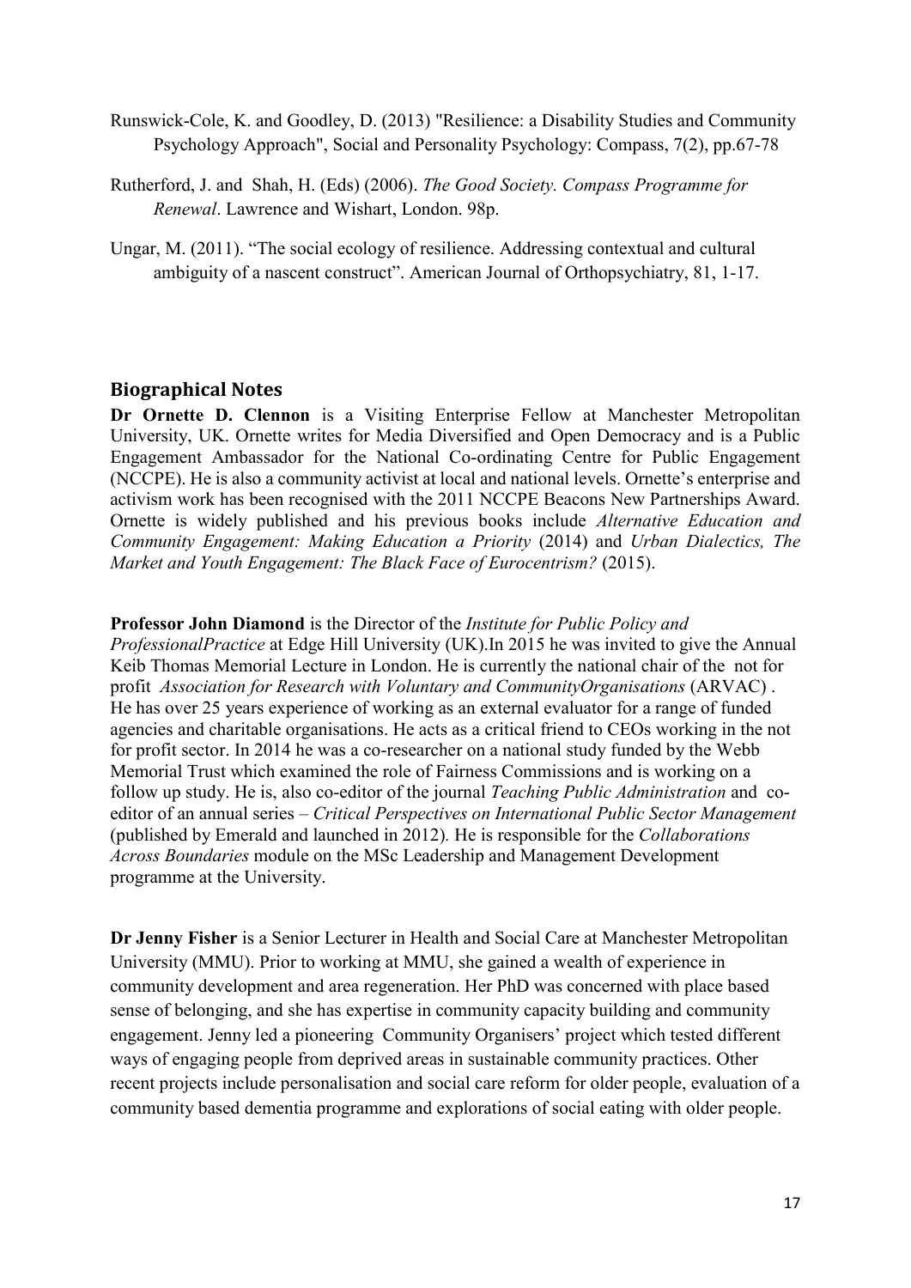- Runswick-Cole, K. and Goodley, D. (2013) "Resilience: a Disability Studies and Community Psychology Approach", Social and Personality Psychology: Compass, 7(2), pp.67-78
- Rutherford, J. and Shah, H. (Eds) (2006). *The Good Society. Compass Programme for Renewal*. Lawrence and Wishart, London. 98p.
- Ungar, M. (2011). "[The social ecology of resilience. Addressing contextual and cultural](http://onlinelibrary.wiley.com/doi/10.1111/j.1939-0025.2010.01067.x/full)  [ambiguity of a nascent construc](http://onlinelibrary.wiley.com/doi/10.1111/j.1939-0025.2010.01067.x/full)t". American Journal of Orthopsychiatry, 81, 1-17.

### **Biographical Notes**

**Dr Ornette D. Clennon** is a Visiting Enterprise Fellow at Manchester Metropolitan University, UK. Ornette writes for Media Diversified and Open Democracy and is a Public Engagement Ambassador for the National Co-ordinating Centre for Public Engagement (NCCPE). He is also a community activist at local and national levels. Ornette's enterprise and activism work has been recognised with the 2011 NCCPE Beacons New Partnerships Award. Ornette is widely published and his previous books include *Alternative Education and Community Engagement: Making Education a Priority* (2014) and *Urban Dialectics, The Market and Youth Engagement: The Black Face of Eurocentrism?* (2015).

**Professor John Diamond** is the Director of the *Institute for Public Policy and ProfessionalPractice* at Edge Hill University (UK).In 2015 he was invited to give the Annual Keib Thomas Memorial Lecture in London. He is currently the national chair of the not for profit *Association for Research with Voluntary and CommunityOrganisations* (ARVAC) . He has over 25 years experience of working as an external evaluator for a range of funded agencies and charitable organisations. He acts as a critical friend to CEOs working in the not for profit sector. In 2014 he was a co-researcher on a national study funded by the Webb Memorial Trust which examined the role of Fairness Commissions and is working on a follow up study. He is, also co-editor of the journal *Teaching Public Administration* and coeditor of an annual series – *Critical Perspectives on International Public Sector Management*  (published by Emerald and launched in 2012)*.* He is responsible for the *Collaborations Across Boundaries* module on the MSc Leadership and Management Development programme at the University.

**Dr Jenny Fisher** is a Senior Lecturer in Health and Social Care at Manchester Metropolitan University (MMU). Prior to working at MMU, she gained a wealth of experience in community development and area regeneration. Her PhD was concerned with place based sense of belonging, and she has expertise in community capacity building and community engagement. Jenny led a pioneering Community Organisers' project which tested different ways of engaging people from deprived areas in sustainable community practices. Other recent projects include personalisation and social care reform for older people, evaluation of a community based dementia programme and explorations of social eating with older people.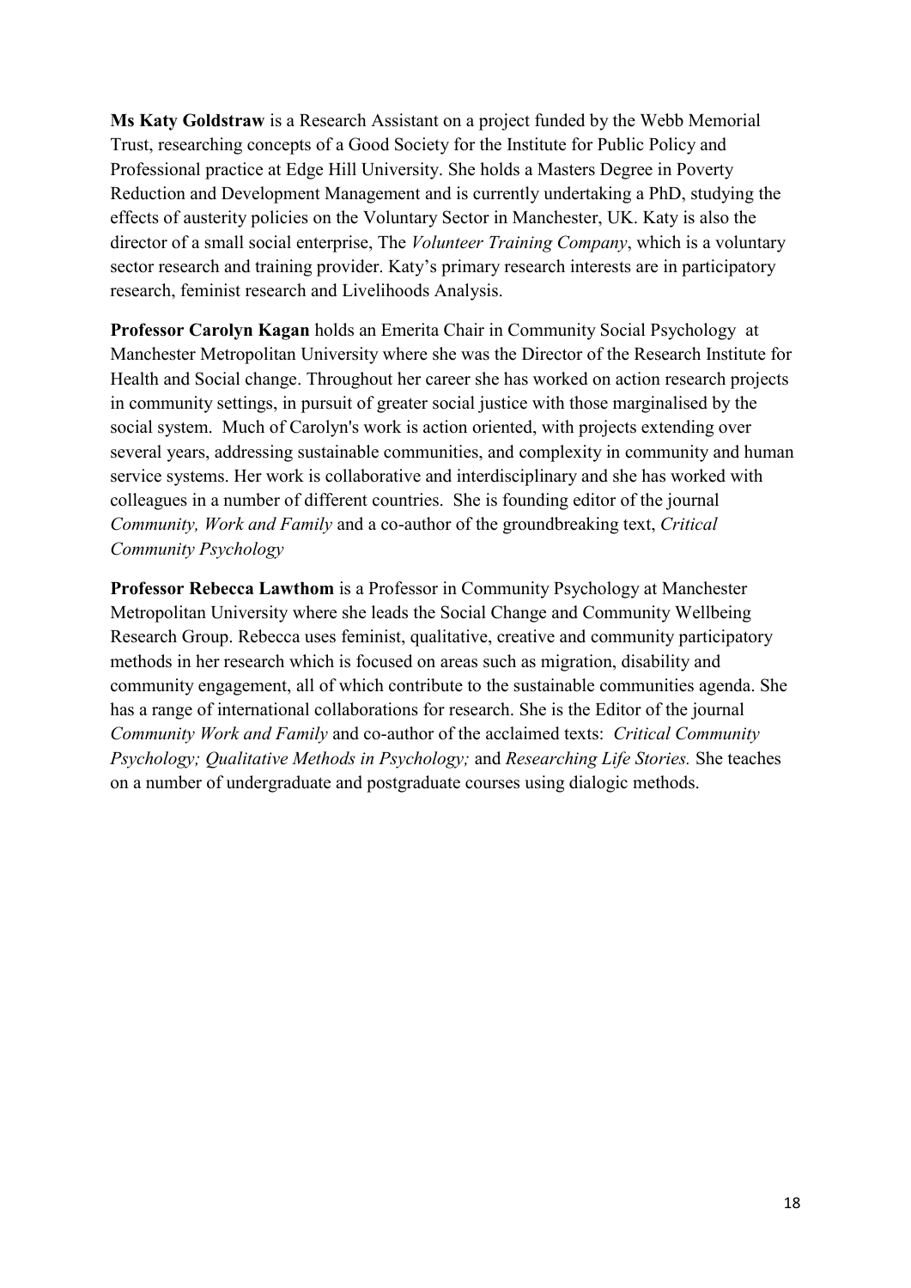**Ms Katy Goldstraw** is a Research Assistant on a project funded by the Webb Memorial Trust, researching concepts of a Good Society for the Institute for Public Policy and Professional practice at Edge Hill University. She holds a Masters Degree in Poverty Reduction and Development Management and is currently undertaking a PhD, studying the effects of austerity policies on the Voluntary Sector in Manchester, UK. Katy is also the director of a small social enterprise, The *Volunteer Training Company*, which is a voluntary sector research and training provider. Katy's primary research interests are in participatory research, feminist research and Livelihoods Analysis.

**Professor Carolyn Kagan** holds an Emerita Chair in Community Social Psychology at Manchester Metropolitan University where she was the Director of the Research Institute for Health and Social change. Throughout her career she has worked on action research projects in community settings, in pursuit of greater social justice with those marginalised by the social system. Much of Carolyn's work is action oriented, with projects extending over several years, addressing sustainable communities, and complexity in community and human service systems. Her work is collaborative and interdisciplinary and she has worked with colleagues in a number of different countries. She is founding editor of the journal *Community, Work and Family* and a co-author of the groundbreaking text, *Critical Community Psychology*

**Professor Rebecca Lawthom** is a Professor in Community Psychology at Manchester Metropolitan University where she leads the Social Change and Community Wellbeing Research Group. Rebecca uses feminist, qualitative, creative and community participatory methods in her research which is focused on areas such as migration, disability and community engagement, all of which contribute to the sustainable communities agenda. She has a range of international collaborations for research. She is the Editor of the journal *Community Work and Family* and co-author of the acclaimed texts: *Critical Community Psychology; Qualitative Methods in Psychology;* and *Researching Life Stories.* She teaches on a number of undergraduate and postgraduate courses using dialogic methods.